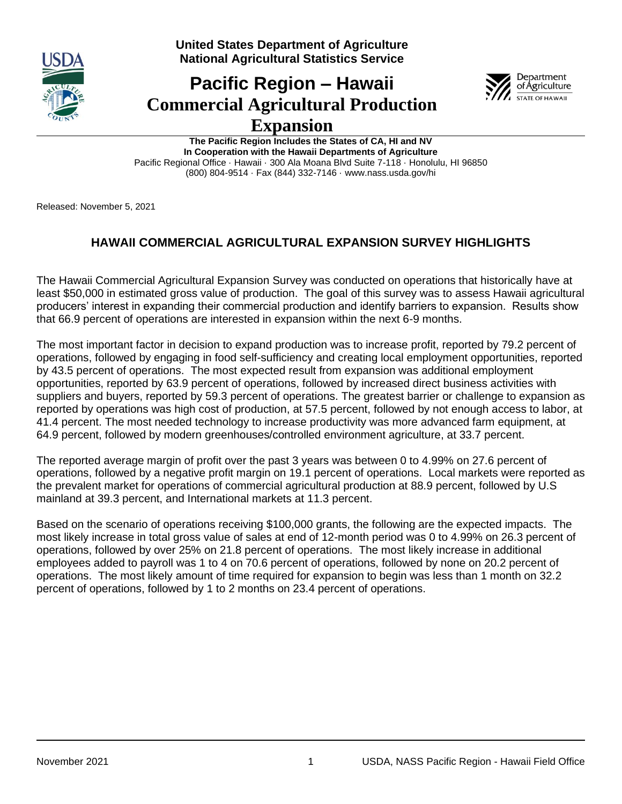

**United States Department of Agriculture National Agricultural Statistics Service**

# **Pacific Region – Hawaii Commercial Agricultural Production Expansion**



**The Pacific Region Includes the States of CA, HI and NV In Cooperation with the Hawaii Departments of Agriculture** Pacific Regional Office · Hawaii · 300 Ala Moana Blvd Suite 7-118 · Honolulu, HI 96850 (800) 804-9514 · Fax (844) 332-7146 · www.nass.usda.gov/hi

Released: November 5, 2021

# **HAWAII COMMERCIAL AGRICULTURAL EXPANSION SURVEY HIGHLIGHTS**

The Hawaii Commercial Agricultural Expansion Survey was conducted on operations that historically have at least \$50,000 in estimated gross value of production. The goal of this survey was to assess Hawaii agricultural producers' interest in expanding their commercial production and identify barriers to expansion. Results show that 66.9 percent of operations are interested in expansion within the next 6-9 months.

The most important factor in decision to expand production was to increase profit, reported by 79.2 percent of operations, followed by engaging in food self-sufficiency and creating local employment opportunities, reported by 43.5 percent of operations. The most expected result from expansion was additional employment opportunities, reported by 63.9 percent of operations, followed by increased direct business activities with suppliers and buyers, reported by 59.3 percent of operations. The greatest barrier or challenge to expansion as reported by operations was high cost of production, at 57.5 percent, followed by not enough access to labor, at 41.4 percent. The most needed technology to increase productivity was more advanced farm equipment, at 64.9 percent, followed by modern greenhouses/controlled environment agriculture, at 33.7 percent.

The reported average margin of profit over the past 3 years was between 0 to 4.99% on 27.6 percent of operations, followed by a negative profit margin on 19.1 percent of operations. Local markets were reported as the prevalent market for operations of commercial agricultural production at 88.9 percent, followed by U.S mainland at 39.3 percent, and International markets at 11.3 percent.

Based on the scenario of operations receiving \$100,000 grants, the following are the expected impacts. The most likely increase in total gross value of sales at end of 12-month period was 0 to 4.99% on 26.3 percent of operations, followed by over 25% on 21.8 percent of operations. The most likely increase in additional employees added to payroll was 1 to 4 on 70.6 percent of operations, followed by none on 20.2 percent of operations. The most likely amount of time required for expansion to begin was less than 1 month on 32.2 percent of operations, followed by 1 to 2 months on 23.4 percent of operations.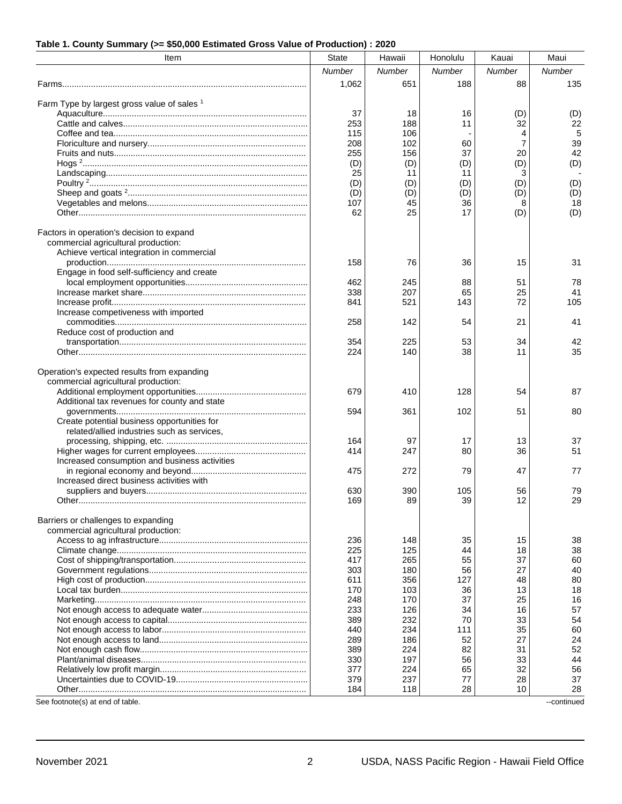#### **Table 1. County Summary (>= \$50,000 Estimated Gross Value of Production) : 2020**

| Item                                                                             | <b>State</b> | Hawaii     | Honolulu  | Kauai    | Maui     |
|----------------------------------------------------------------------------------|--------------|------------|-----------|----------|----------|
|                                                                                  | Number       | Number     | Number    | Number   | Number   |
|                                                                                  | 1,062        | 651        | 188       | 88       | 135      |
|                                                                                  |              |            |           |          |          |
| Farm Type by largest gross value of sales 1                                      | 37           | 18         | 16        | (D)      | (D)      |
|                                                                                  | 253          | 188        | 11        | 32       | 22       |
|                                                                                  | 115          | 106        |           | 4        | 5        |
|                                                                                  | 208          | 102        | 60        | 7        | 39       |
|                                                                                  | 255          | 156        | 37        | 20       | 42       |
|                                                                                  | (D)          | (D)        | (D)       | (D)      | (D)      |
|                                                                                  | 25<br>(D)    | 11<br>(D)  | 11<br>(D) | 3<br>(D) | (D)      |
|                                                                                  | (D)          | (D)        | (D)       | (D)      | (D)      |
|                                                                                  | 107          | 45         | 36        | 8        | 18       |
|                                                                                  | 62           | 25         | 17        | (D)      | (D)      |
|                                                                                  |              |            |           |          |          |
| Factors in operation's decision to expand<br>commercial agricultural production: |              |            |           |          |          |
| Achieve vertical integration in commercial                                       |              |            |           |          |          |
|                                                                                  | 158          | 76         | 36        | 15       | 31       |
| Engage in food self-sufficiency and create                                       |              |            |           |          |          |
|                                                                                  | 462          | 245        | 88        | 51       | 78       |
|                                                                                  | 338          | 207        | 65        | 25       | 41       |
|                                                                                  | 841          | 521        | 143       | 72       | 105      |
| Increase competiveness with imported                                             | 258          | 142        | 54        | 21       | 41       |
| Reduce cost of production and                                                    |              |            |           |          |          |
|                                                                                  | 354          | 225        | 53        | 34       | 42       |
|                                                                                  | 224          | 140        | 38        | 11       | 35       |
|                                                                                  |              |            |           |          |          |
| Operation's expected results from expanding                                      |              |            |           |          |          |
| commercial agricultural production:                                              | 679          | 410        | 128       | 54       | 87       |
| Additional tax revenues for county and state                                     |              |            |           |          |          |
|                                                                                  | 594          | 361        | 102       | 51       | 80       |
| Create potential business opportunities for                                      |              |            |           |          |          |
| related/allied industries such as services,                                      |              |            |           |          |          |
|                                                                                  | 164<br>414   | 97<br>247  | 17<br>80  | 13<br>36 | 37<br>51 |
| Increased consumption and business activities                                    |              |            |           |          |          |
|                                                                                  | 475          | 272        | 79        | 47       | 77       |
| Increased direct business activities with                                        |              |            |           |          |          |
|                                                                                  | 630          | 390        | 105       | 56       | 79       |
|                                                                                  | 169          | 89         | 39        | 12       | 29       |
| Barriers or challenges to expanding                                              |              |            |           |          |          |
| commercial agricultural production:                                              |              |            |           |          |          |
|                                                                                  | 236          | 148        | 35        | 15       | 38       |
|                                                                                  | 225          | 125        | 44        | 18       | 38       |
|                                                                                  | 417          | 265        | 55        | 37       | 60       |
|                                                                                  | 303          | 180        | 56        | 27       | 40       |
|                                                                                  | 611<br>170   | 356<br>103 | 127<br>36 | 48<br>13 | 80<br>18 |
|                                                                                  | 248          | 170        | 37        | 25       | 16       |
|                                                                                  | 233          | 126        | 34        | 16       | 57       |
|                                                                                  | 389          | 232        | 70        | 33       | 54       |
|                                                                                  | 440          | 234        | 111       | 35       | 60       |
|                                                                                  | 289          | 186        | 52        | 27       | 24       |
|                                                                                  | 389<br>330   | 224<br>197 | 82<br>56  | 31<br>33 | 52<br>44 |
|                                                                                  | 377          | 224        | 65        | 32       | 56       |
|                                                                                  | 379          | 237        | 77        | 28       | 37       |
|                                                                                  | 184          | 118        | 28        | 10       | 28       |

See footnote(s) at end of table. ---continued  $\sim$ -continued  $\sim$ -continued  $\sim$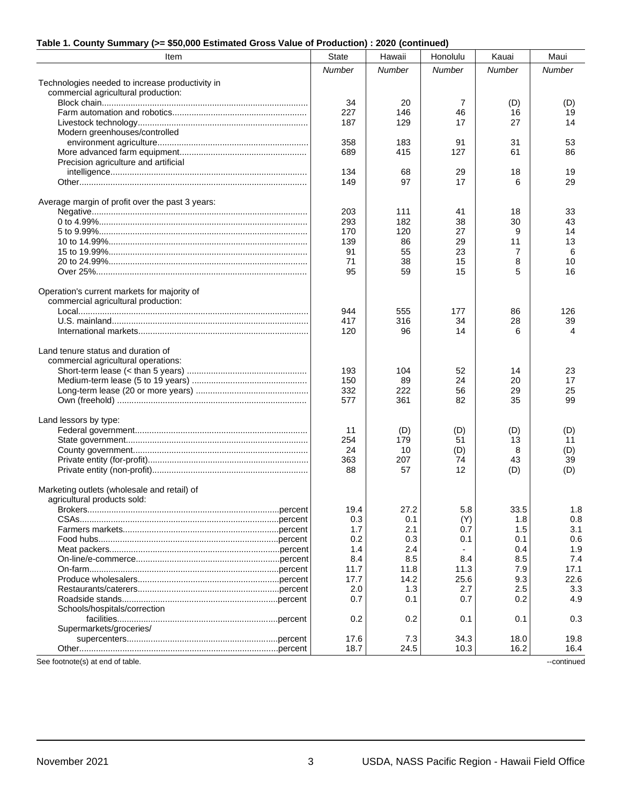| Item                                            | <b>State</b> | Hawaii | Honolulu | Kauai  | Maui   |
|-------------------------------------------------|--------------|--------|----------|--------|--------|
|                                                 | Number       | Number | Number   | Number | Number |
| Technologies needed to increase productivity in |              |        |          |        |        |
| commercial agricultural production:             |              |        |          |        |        |
|                                                 | 34           | 20     | 7        | (D)    | (D)    |
|                                                 | 227          | 146    | 46       | 16     | 19     |
|                                                 | 187          | 129    | 17       | 27     | 14     |
| Modern greenhouses/controlled                   |              |        |          |        |        |
|                                                 | 358          | 183    | 91       | 31     | 53     |
|                                                 | 689          | 415    | 127      | 61     | 86     |
| Precision agriculture and artificial            |              |        |          |        |        |
|                                                 | 134          | 68     | 29       | 18     | 19     |
|                                                 | 149          | 97     | 17       | 6      | 29     |
|                                                 |              |        |          |        |        |
| Average margin of profit over the past 3 years: |              |        |          |        |        |
|                                                 | 203          | 111    | 41       | 18     | 33     |
|                                                 | 293          | 182    | 38       | 30     | 43     |
|                                                 | 170          | 120    | 27       | 9      | 14     |
|                                                 | 139          | 86     | 29       | 11     | 13     |
|                                                 | 91           | 55     | 23       | 7      | 6      |
|                                                 | 71           | 38     | 15       | 8      | 10     |
|                                                 | 95           | 59     | 15       | 5      | 16     |
| Operation's current markets for majority of     |              |        |          |        |        |
| commercial agricultural production:             |              |        |          |        |        |
|                                                 | 944          | 555    | 177      | 86     | 126    |
|                                                 | 417          | 316    | 34       | 28     | 39     |
|                                                 | 120          | 96     | 14       | 6      | 4      |
|                                                 |              |        |          |        |        |
| Land tenure status and duration of              |              |        |          |        |        |
| commercial agricultural operations:             |              |        |          |        |        |
|                                                 | 193          | 104    | 52       | 14     | 23     |
|                                                 | 150          | 89     | 24       | 20     | 17     |
|                                                 | 332          | 222    | 56       | 29     | 25     |
|                                                 | 577          | 361    | 82       | 35     | 99     |
|                                                 |              |        |          |        |        |
| Land lessors by type:                           |              |        |          |        |        |
|                                                 | 11           | (D)    | (D)      | (D)    | (D)    |
|                                                 | 254          | 179    | 51       | 13     | 11     |
|                                                 | 24           | 10     | (D)      | 8      | (D)    |
|                                                 | 363          | 207    | 74       | 43     | 39     |
|                                                 | 88           | 57     | 12       | (D)    | (D)    |
| Marketing outlets (wholesale and retail) of     |              |        |          |        |        |
| agricultural products sold:                     |              |        |          |        |        |
|                                                 | 19.4         | 27.2   | 5.8      | 33.5   | 1.8    |
|                                                 | 0.3          | 0.1    | (Y)      | 1.8    | 0.8    |
|                                                 | 1.7          | 2.1    | 0.7      | 1.5    | 3.1    |
|                                                 | 0.2          | 0.3    | 0.1      | 0.1    | 0.6    |
|                                                 | 1.4          | 2.4    |          | 0.4    | 1.9    |
|                                                 | 8.4          | 8.5    | 8.4      | 8.5    | 7.4    |
|                                                 | 11.7         | 11.8   | 11.3     | 7.9    | 17.1   |
|                                                 | 17.7         | 14.2   | 25.6     | 9.3    | 22.6   |
|                                                 | 2.0          | 1.3    | 2.7      | 2.5    | 3.3    |
|                                                 | 0.7          | 0.1    | 0.7      |        | 4.9    |
|                                                 |              |        |          | 0.2    |        |
| Schools/hospitals/correction                    |              |        |          |        | 0.3    |
| Supermarkets/groceries/                         | 0.2          | 0.2    | 0.1      | 0.1    |        |
|                                                 | 17.6         | 7.3    | 34.3     | 18.0   | 19.8   |
|                                                 | 18.7         | 24.5   | 10.3     | 16.2   | 16.4   |
|                                                 |              |        |          |        |        |

#### **Table 1. County Summary (>= \$50,000 Estimated Gross Value of Production) : 2020 (continued)**

See footnote(s) at end of table.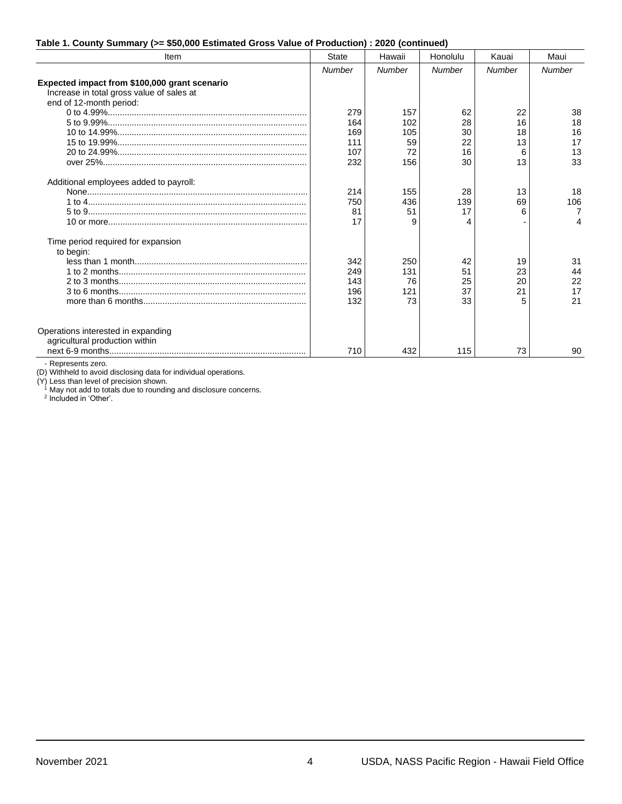|  |  |  |  | Table 1. County Summary (>= \$50,000 Estimated Gross Value of Production) : 2020 (continued) |  |  |
|--|--|--|--|----------------------------------------------------------------------------------------------|--|--|
|--|--|--|--|----------------------------------------------------------------------------------------------|--|--|

| Item                                          | <b>State</b>  | Hawaii        | Honolulu | Kauai         | Maui   |
|-----------------------------------------------|---------------|---------------|----------|---------------|--------|
|                                               | <b>Number</b> | <b>Number</b> | Number   | <b>Number</b> | Number |
| Expected impact from \$100,000 grant scenario |               |               |          |               |        |
| Increase in total gross value of sales at     |               |               |          |               |        |
| end of 12-month period:                       |               |               |          |               |        |
|                                               | 279           | 157           | 62       | 22            | 38     |
|                                               | 164           | 102           | 28       | 16            | 18     |
|                                               | 169           | 105           | 30       | 18            | 16     |
|                                               | 111           | 59            | 22       | 13            | 17     |
|                                               | 107           | 72            | 16       | 6             | 13     |
|                                               | 232           | 156           | 30       | 13            | 33     |
|                                               |               |               |          |               |        |
| Additional employees added to payroll:        |               |               |          |               |        |
|                                               | 214           | 155           | 28       | 13            | 18     |
|                                               | 750           | 436           | 139      | 69            | 106    |
|                                               | 81            | 51            | 17       | 6             | 7      |
|                                               | 17            | q             |          |               |        |
| Time period required for expansion            |               |               |          |               |        |
| to begin:                                     |               |               |          |               |        |
|                                               | 342           | 250           | 42       | 19            | 31     |
|                                               | 249           | 131           | 51       | 23            | 44     |
|                                               | 143           | 76            | 25       | 20            | 22     |
|                                               | 196           | 121           | 37       | 21            | 17     |
|                                               | 132           | 73            | 33       | 5             | 21     |
|                                               |               |               |          |               |        |
| Operations interested in expanding            |               |               |          |               |        |
| agricultural production within                |               |               |          |               |        |
|                                               | 710           | 432           | 115      | 73            | 90     |
|                                               |               |               |          |               |        |

- Represents zero.

(D) Withheld to avoid disclosing data for individual operations.

(Y) Less than level of precision shown.

<sup>1</sup> May not add to totals due to rounding and disclosure concerns.<br><sup>2</sup> Included in 'Other'.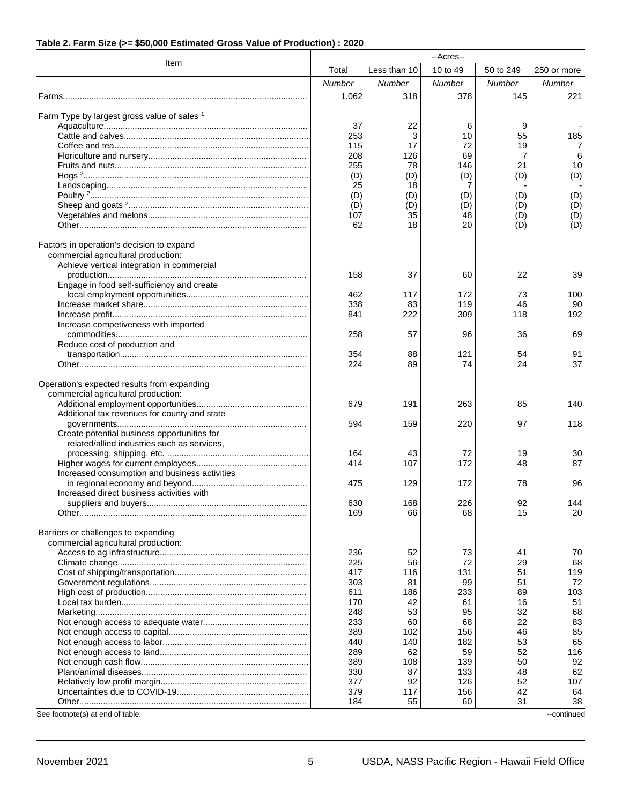#### **Table 2. Farm Size (>= \$50,000 Estimated Gross Value of Production) : 2020**

|                                                                                    |            |              | --Acres--  |           |             |
|------------------------------------------------------------------------------------|------------|--------------|------------|-----------|-------------|
| Item                                                                               | Total      | Less than 10 | 10 to 49   | 50 to 249 | 250 or more |
|                                                                                    | Number     | Number       | Number     | Number    | Number      |
|                                                                                    | 1,062      | 318          | 378        | 145       | 221         |
|                                                                                    |            |              |            |           |             |
| Farm Type by largest gross value of sales 1                                        |            |              |            |           |             |
|                                                                                    | 37<br>253  | 22<br>3      | 6<br>10    | 9<br>55   | 185         |
|                                                                                    | 115        | 17           | 72         | 19        | 7           |
|                                                                                    | 208        | 126          | 69         | 7         | 6           |
|                                                                                    | 255        | 78           | 146        | 21        | 10          |
|                                                                                    | (D)        | (D)          | (D)        | (D)       | (D)         |
|                                                                                    | 25<br>(D)  | 18<br>(D)    | 7<br>(D)   | (D)       | (D)         |
|                                                                                    | (D)        | (D)          | (D)        | (D)       | (D)         |
|                                                                                    | 107        | 35           | 48         | (D)       | (D)         |
|                                                                                    | 62         | 18           | 20         | (D)       | (D)         |
|                                                                                    |            |              |            |           |             |
| Factors in operation's decision to expand<br>commercial agricultural production:   |            |              |            |           |             |
| Achieve vertical integration in commercial                                         |            |              |            |           |             |
|                                                                                    | 158        | 37           | 60         | 22        | 39          |
| Engage in food self-sufficiency and create                                         |            |              |            |           |             |
|                                                                                    | 462        | 117          | 172        | 73        | 100         |
|                                                                                    | 338        | 83<br>222    | 119<br>309 | 46<br>118 | 90<br>192   |
| Increase competiveness with imported                                               | 841        |              |            |           |             |
|                                                                                    | 258        | 57           | 96         | 36        | 69          |
| Reduce cost of production and                                                      |            |              |            |           |             |
|                                                                                    | 354        | 88           | 121        | 54        | 91          |
|                                                                                    | 224        | 89           | 74         | 24        | 37          |
|                                                                                    |            |              |            |           |             |
| Operation's expected results from expanding<br>commercial agricultural production: |            |              |            |           |             |
|                                                                                    | 679        | 191          | 263        | 85        | 140         |
| Additional tax revenues for county and state                                       |            |              |            |           |             |
|                                                                                    | 594        | 159          | 220        | 97        | 118         |
| Create potential business opportunities for                                        |            |              |            |           |             |
| related/allied industries such as services,                                        | 164        | 43           | 72         | 19        | 30          |
|                                                                                    | 414        | 107          | 172        | 48        | 87          |
| Increased consumption and business activities                                      |            |              |            |           |             |
|                                                                                    | 475        | 129          | 172        | 78        | 96          |
| Increased direct business activities with                                          |            |              |            |           |             |
|                                                                                    | 630        | 168          | 226        | 92        | 144         |
|                                                                                    | 169        | 66           | 68         | 15        | 20          |
| Barriers or challenges to expanding                                                |            |              |            |           |             |
| commercial agricultural production:                                                |            |              |            |           |             |
|                                                                                    | 236        | 52           | 73         | 41        | 70          |
|                                                                                    | 225        | 56           | 72         | 29        | 68          |
|                                                                                    | 417<br>303 | 116<br>81    | 131<br>99  | 51<br>51  | 119<br>72   |
|                                                                                    | 611        | 186          | 233        | 89        | 103         |
|                                                                                    | 170        | 42           | 61         | 16        | 51          |
|                                                                                    | 248        | 53           | 95         | 32        | 68          |
|                                                                                    | 233        | 60           | 68         | 22        | 83          |
|                                                                                    | 389        | 102          | 156        | 46        | 85          |
|                                                                                    | 440        | 140          | 182        | 53        | 65          |
|                                                                                    | 289<br>389 | 62<br>108    | 59<br>139  | 52<br>50  | 116<br>92   |
|                                                                                    | 330        | 87           | 133        | 48        | 62          |
|                                                                                    | 377        | 92           | 126        | 52        | 107         |
|                                                                                    | 379        | 117          | 156        | 42        | 64          |
|                                                                                    | 184        | 55           | 60         | 31        | 38          |
| See footnote(s) at end of table.                                                   |            |              |            |           | --continued |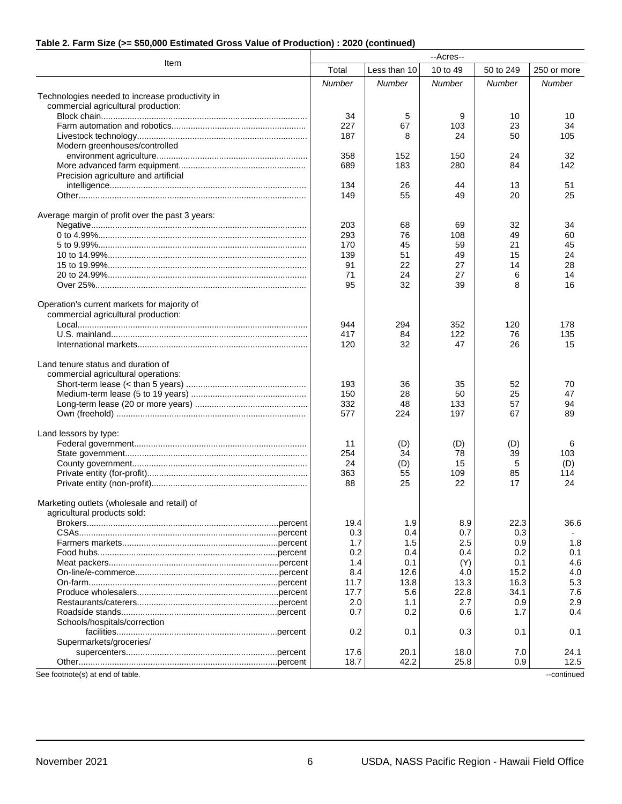#### **Table 2. Farm Size (>= \$50,000 Estimated Gross Value of Production) : 2020 (continued)**

| Item<br>Total<br>Less than 10<br>10 to 49<br>50 to 249<br>250 or more<br>Number<br><b>Number</b><br>Number<br><b>Number</b><br>Number<br>Technologies needed to increase productivity in<br>commercial agricultural production:<br>34<br>5<br>9<br>10<br>10<br>67<br>34<br>227<br>103<br>23<br>24<br>50<br>187<br>8<br>105<br>Modern greenhouses/controlled<br>358<br>152<br>150<br>24<br>32<br>689<br>183<br>280<br>84<br>142<br>Precision agriculture and artificial<br>134<br>26<br>44<br>13<br>51<br>55<br>20<br>25<br>149<br>49<br>Average margin of profit over the past 3 years:<br>203<br>68<br>69<br>32<br>34<br>76<br>293<br>108<br>49<br>60<br>45<br>21<br>170<br>59<br>45<br>139<br>51<br>49<br>15<br>24<br>22<br>27<br>28<br>91<br>14<br>71<br>24<br>27<br>6<br>14<br>95<br>32<br>39<br>16<br>8<br>Operation's current markets for majority of<br>commercial agricultural production:<br>352<br>120<br>178<br>944<br>294<br>417<br>84<br>122<br>76<br>135<br>120<br>32<br>47<br>26<br>15<br>Land tenure status and duration of<br>commercial agricultural operations:<br>36<br>193<br>35<br>52<br>70<br>150<br>28<br>50<br>25<br>47<br>332<br>48<br>133<br>57<br>94<br>577<br>224<br>197<br>67<br>89<br>Land lessors by type:<br>11<br>(D)<br>(D)<br>(D)<br>6<br>254<br>34<br>78<br>39<br>103<br>15<br>5<br>24<br>(D)<br>(D)<br>363<br>55<br>109<br>85<br>114<br>22<br>88<br>25<br>17<br>24<br>Marketing outlets (wholesale and retail) of<br>agricultural products sold:<br>8.9<br>22.3<br>19.4<br>1.9<br>36.6<br>0.3<br>0.4<br>0.7<br>0.3<br>1.7<br>1.5<br>2.5<br>0.9<br>1.8<br>0.2<br>0.4<br>0.2<br>0.1<br>0.4<br>0.1<br>0.1<br>4.6<br>1.4<br>(Y)<br>8.4<br>15.2<br>4.0<br>12.6<br>4.0<br>5.3<br>11.7<br>13.8<br>16.3<br>13.3<br>7.6<br>17.7<br>5.6<br>22.8<br>34.1<br>2.9<br>2.0<br>1.1<br>2.7<br>0.9<br>0.4<br>0.7<br>0.2<br>0.6<br>1.7<br>Schools/hospitals/correction<br>0.2<br>0.1<br>0.3<br>0.1<br>0.1<br>Supermarkets/groceries/<br>18.0<br>17.6<br>20.1<br>24.1<br>7.0<br>18.7<br>42.2<br>25.8<br>0.9<br>12.5<br>See footnote(s) at end of table.<br>--continued | --Acres-- |  |  |  |  |  |
|------------------------------------------------------------------------------------------------------------------------------------------------------------------------------------------------------------------------------------------------------------------------------------------------------------------------------------------------------------------------------------------------------------------------------------------------------------------------------------------------------------------------------------------------------------------------------------------------------------------------------------------------------------------------------------------------------------------------------------------------------------------------------------------------------------------------------------------------------------------------------------------------------------------------------------------------------------------------------------------------------------------------------------------------------------------------------------------------------------------------------------------------------------------------------------------------------------------------------------------------------------------------------------------------------------------------------------------------------------------------------------------------------------------------------------------------------------------------------------------------------------------------------------------------------------------------------------------------------------------------------------------------------------------------------------------------------------------------------------------------------------------------------------------------------------------------------------------------------------------------------------------------------------------------------------------------------------------------------------------------------------------------------------------------------------------------------------------|-----------|--|--|--|--|--|
|                                                                                                                                                                                                                                                                                                                                                                                                                                                                                                                                                                                                                                                                                                                                                                                                                                                                                                                                                                                                                                                                                                                                                                                                                                                                                                                                                                                                                                                                                                                                                                                                                                                                                                                                                                                                                                                                                                                                                                                                                                                                                          |           |  |  |  |  |  |
|                                                                                                                                                                                                                                                                                                                                                                                                                                                                                                                                                                                                                                                                                                                                                                                                                                                                                                                                                                                                                                                                                                                                                                                                                                                                                                                                                                                                                                                                                                                                                                                                                                                                                                                                                                                                                                                                                                                                                                                                                                                                                          |           |  |  |  |  |  |
|                                                                                                                                                                                                                                                                                                                                                                                                                                                                                                                                                                                                                                                                                                                                                                                                                                                                                                                                                                                                                                                                                                                                                                                                                                                                                                                                                                                                                                                                                                                                                                                                                                                                                                                                                                                                                                                                                                                                                                                                                                                                                          |           |  |  |  |  |  |
|                                                                                                                                                                                                                                                                                                                                                                                                                                                                                                                                                                                                                                                                                                                                                                                                                                                                                                                                                                                                                                                                                                                                                                                                                                                                                                                                                                                                                                                                                                                                                                                                                                                                                                                                                                                                                                                                                                                                                                                                                                                                                          |           |  |  |  |  |  |
|                                                                                                                                                                                                                                                                                                                                                                                                                                                                                                                                                                                                                                                                                                                                                                                                                                                                                                                                                                                                                                                                                                                                                                                                                                                                                                                                                                                                                                                                                                                                                                                                                                                                                                                                                                                                                                                                                                                                                                                                                                                                                          |           |  |  |  |  |  |
|                                                                                                                                                                                                                                                                                                                                                                                                                                                                                                                                                                                                                                                                                                                                                                                                                                                                                                                                                                                                                                                                                                                                                                                                                                                                                                                                                                                                                                                                                                                                                                                                                                                                                                                                                                                                                                                                                                                                                                                                                                                                                          |           |  |  |  |  |  |
|                                                                                                                                                                                                                                                                                                                                                                                                                                                                                                                                                                                                                                                                                                                                                                                                                                                                                                                                                                                                                                                                                                                                                                                                                                                                                                                                                                                                                                                                                                                                                                                                                                                                                                                                                                                                                                                                                                                                                                                                                                                                                          |           |  |  |  |  |  |
|                                                                                                                                                                                                                                                                                                                                                                                                                                                                                                                                                                                                                                                                                                                                                                                                                                                                                                                                                                                                                                                                                                                                                                                                                                                                                                                                                                                                                                                                                                                                                                                                                                                                                                                                                                                                                                                                                                                                                                                                                                                                                          |           |  |  |  |  |  |
|                                                                                                                                                                                                                                                                                                                                                                                                                                                                                                                                                                                                                                                                                                                                                                                                                                                                                                                                                                                                                                                                                                                                                                                                                                                                                                                                                                                                                                                                                                                                                                                                                                                                                                                                                                                                                                                                                                                                                                                                                                                                                          |           |  |  |  |  |  |
|                                                                                                                                                                                                                                                                                                                                                                                                                                                                                                                                                                                                                                                                                                                                                                                                                                                                                                                                                                                                                                                                                                                                                                                                                                                                                                                                                                                                                                                                                                                                                                                                                                                                                                                                                                                                                                                                                                                                                                                                                                                                                          |           |  |  |  |  |  |
|                                                                                                                                                                                                                                                                                                                                                                                                                                                                                                                                                                                                                                                                                                                                                                                                                                                                                                                                                                                                                                                                                                                                                                                                                                                                                                                                                                                                                                                                                                                                                                                                                                                                                                                                                                                                                                                                                                                                                                                                                                                                                          |           |  |  |  |  |  |
|                                                                                                                                                                                                                                                                                                                                                                                                                                                                                                                                                                                                                                                                                                                                                                                                                                                                                                                                                                                                                                                                                                                                                                                                                                                                                                                                                                                                                                                                                                                                                                                                                                                                                                                                                                                                                                                                                                                                                                                                                                                                                          |           |  |  |  |  |  |
|                                                                                                                                                                                                                                                                                                                                                                                                                                                                                                                                                                                                                                                                                                                                                                                                                                                                                                                                                                                                                                                                                                                                                                                                                                                                                                                                                                                                                                                                                                                                                                                                                                                                                                                                                                                                                                                                                                                                                                                                                                                                                          |           |  |  |  |  |  |
|                                                                                                                                                                                                                                                                                                                                                                                                                                                                                                                                                                                                                                                                                                                                                                                                                                                                                                                                                                                                                                                                                                                                                                                                                                                                                                                                                                                                                                                                                                                                                                                                                                                                                                                                                                                                                                                                                                                                                                                                                                                                                          |           |  |  |  |  |  |
|                                                                                                                                                                                                                                                                                                                                                                                                                                                                                                                                                                                                                                                                                                                                                                                                                                                                                                                                                                                                                                                                                                                                                                                                                                                                                                                                                                                                                                                                                                                                                                                                                                                                                                                                                                                                                                                                                                                                                                                                                                                                                          |           |  |  |  |  |  |
|                                                                                                                                                                                                                                                                                                                                                                                                                                                                                                                                                                                                                                                                                                                                                                                                                                                                                                                                                                                                                                                                                                                                                                                                                                                                                                                                                                                                                                                                                                                                                                                                                                                                                                                                                                                                                                                                                                                                                                                                                                                                                          |           |  |  |  |  |  |
|                                                                                                                                                                                                                                                                                                                                                                                                                                                                                                                                                                                                                                                                                                                                                                                                                                                                                                                                                                                                                                                                                                                                                                                                                                                                                                                                                                                                                                                                                                                                                                                                                                                                                                                                                                                                                                                                                                                                                                                                                                                                                          |           |  |  |  |  |  |
|                                                                                                                                                                                                                                                                                                                                                                                                                                                                                                                                                                                                                                                                                                                                                                                                                                                                                                                                                                                                                                                                                                                                                                                                                                                                                                                                                                                                                                                                                                                                                                                                                                                                                                                                                                                                                                                                                                                                                                                                                                                                                          |           |  |  |  |  |  |
|                                                                                                                                                                                                                                                                                                                                                                                                                                                                                                                                                                                                                                                                                                                                                                                                                                                                                                                                                                                                                                                                                                                                                                                                                                                                                                                                                                                                                                                                                                                                                                                                                                                                                                                                                                                                                                                                                                                                                                                                                                                                                          |           |  |  |  |  |  |
|                                                                                                                                                                                                                                                                                                                                                                                                                                                                                                                                                                                                                                                                                                                                                                                                                                                                                                                                                                                                                                                                                                                                                                                                                                                                                                                                                                                                                                                                                                                                                                                                                                                                                                                                                                                                                                                                                                                                                                                                                                                                                          |           |  |  |  |  |  |
|                                                                                                                                                                                                                                                                                                                                                                                                                                                                                                                                                                                                                                                                                                                                                                                                                                                                                                                                                                                                                                                                                                                                                                                                                                                                                                                                                                                                                                                                                                                                                                                                                                                                                                                                                                                                                                                                                                                                                                                                                                                                                          |           |  |  |  |  |  |
|                                                                                                                                                                                                                                                                                                                                                                                                                                                                                                                                                                                                                                                                                                                                                                                                                                                                                                                                                                                                                                                                                                                                                                                                                                                                                                                                                                                                                                                                                                                                                                                                                                                                                                                                                                                                                                                                                                                                                                                                                                                                                          |           |  |  |  |  |  |
|                                                                                                                                                                                                                                                                                                                                                                                                                                                                                                                                                                                                                                                                                                                                                                                                                                                                                                                                                                                                                                                                                                                                                                                                                                                                                                                                                                                                                                                                                                                                                                                                                                                                                                                                                                                                                                                                                                                                                                                                                                                                                          |           |  |  |  |  |  |
|                                                                                                                                                                                                                                                                                                                                                                                                                                                                                                                                                                                                                                                                                                                                                                                                                                                                                                                                                                                                                                                                                                                                                                                                                                                                                                                                                                                                                                                                                                                                                                                                                                                                                                                                                                                                                                                                                                                                                                                                                                                                                          |           |  |  |  |  |  |
|                                                                                                                                                                                                                                                                                                                                                                                                                                                                                                                                                                                                                                                                                                                                                                                                                                                                                                                                                                                                                                                                                                                                                                                                                                                                                                                                                                                                                                                                                                                                                                                                                                                                                                                                                                                                                                                                                                                                                                                                                                                                                          |           |  |  |  |  |  |
|                                                                                                                                                                                                                                                                                                                                                                                                                                                                                                                                                                                                                                                                                                                                                                                                                                                                                                                                                                                                                                                                                                                                                                                                                                                                                                                                                                                                                                                                                                                                                                                                                                                                                                                                                                                                                                                                                                                                                                                                                                                                                          |           |  |  |  |  |  |
|                                                                                                                                                                                                                                                                                                                                                                                                                                                                                                                                                                                                                                                                                                                                                                                                                                                                                                                                                                                                                                                                                                                                                                                                                                                                                                                                                                                                                                                                                                                                                                                                                                                                                                                                                                                                                                                                                                                                                                                                                                                                                          |           |  |  |  |  |  |
|                                                                                                                                                                                                                                                                                                                                                                                                                                                                                                                                                                                                                                                                                                                                                                                                                                                                                                                                                                                                                                                                                                                                                                                                                                                                                                                                                                                                                                                                                                                                                                                                                                                                                                                                                                                                                                                                                                                                                                                                                                                                                          |           |  |  |  |  |  |
|                                                                                                                                                                                                                                                                                                                                                                                                                                                                                                                                                                                                                                                                                                                                                                                                                                                                                                                                                                                                                                                                                                                                                                                                                                                                                                                                                                                                                                                                                                                                                                                                                                                                                                                                                                                                                                                                                                                                                                                                                                                                                          |           |  |  |  |  |  |
|                                                                                                                                                                                                                                                                                                                                                                                                                                                                                                                                                                                                                                                                                                                                                                                                                                                                                                                                                                                                                                                                                                                                                                                                                                                                                                                                                                                                                                                                                                                                                                                                                                                                                                                                                                                                                                                                                                                                                                                                                                                                                          |           |  |  |  |  |  |
|                                                                                                                                                                                                                                                                                                                                                                                                                                                                                                                                                                                                                                                                                                                                                                                                                                                                                                                                                                                                                                                                                                                                                                                                                                                                                                                                                                                                                                                                                                                                                                                                                                                                                                                                                                                                                                                                                                                                                                                                                                                                                          |           |  |  |  |  |  |
|                                                                                                                                                                                                                                                                                                                                                                                                                                                                                                                                                                                                                                                                                                                                                                                                                                                                                                                                                                                                                                                                                                                                                                                                                                                                                                                                                                                                                                                                                                                                                                                                                                                                                                                                                                                                                                                                                                                                                                                                                                                                                          |           |  |  |  |  |  |
|                                                                                                                                                                                                                                                                                                                                                                                                                                                                                                                                                                                                                                                                                                                                                                                                                                                                                                                                                                                                                                                                                                                                                                                                                                                                                                                                                                                                                                                                                                                                                                                                                                                                                                                                                                                                                                                                                                                                                                                                                                                                                          |           |  |  |  |  |  |
|                                                                                                                                                                                                                                                                                                                                                                                                                                                                                                                                                                                                                                                                                                                                                                                                                                                                                                                                                                                                                                                                                                                                                                                                                                                                                                                                                                                                                                                                                                                                                                                                                                                                                                                                                                                                                                                                                                                                                                                                                                                                                          |           |  |  |  |  |  |
|                                                                                                                                                                                                                                                                                                                                                                                                                                                                                                                                                                                                                                                                                                                                                                                                                                                                                                                                                                                                                                                                                                                                                                                                                                                                                                                                                                                                                                                                                                                                                                                                                                                                                                                                                                                                                                                                                                                                                                                                                                                                                          |           |  |  |  |  |  |
|                                                                                                                                                                                                                                                                                                                                                                                                                                                                                                                                                                                                                                                                                                                                                                                                                                                                                                                                                                                                                                                                                                                                                                                                                                                                                                                                                                                                                                                                                                                                                                                                                                                                                                                                                                                                                                                                                                                                                                                                                                                                                          |           |  |  |  |  |  |
|                                                                                                                                                                                                                                                                                                                                                                                                                                                                                                                                                                                                                                                                                                                                                                                                                                                                                                                                                                                                                                                                                                                                                                                                                                                                                                                                                                                                                                                                                                                                                                                                                                                                                                                                                                                                                                                                                                                                                                                                                                                                                          |           |  |  |  |  |  |
|                                                                                                                                                                                                                                                                                                                                                                                                                                                                                                                                                                                                                                                                                                                                                                                                                                                                                                                                                                                                                                                                                                                                                                                                                                                                                                                                                                                                                                                                                                                                                                                                                                                                                                                                                                                                                                                                                                                                                                                                                                                                                          |           |  |  |  |  |  |
|                                                                                                                                                                                                                                                                                                                                                                                                                                                                                                                                                                                                                                                                                                                                                                                                                                                                                                                                                                                                                                                                                                                                                                                                                                                                                                                                                                                                                                                                                                                                                                                                                                                                                                                                                                                                                                                                                                                                                                                                                                                                                          |           |  |  |  |  |  |
|                                                                                                                                                                                                                                                                                                                                                                                                                                                                                                                                                                                                                                                                                                                                                                                                                                                                                                                                                                                                                                                                                                                                                                                                                                                                                                                                                                                                                                                                                                                                                                                                                                                                                                                                                                                                                                                                                                                                                                                                                                                                                          |           |  |  |  |  |  |
|                                                                                                                                                                                                                                                                                                                                                                                                                                                                                                                                                                                                                                                                                                                                                                                                                                                                                                                                                                                                                                                                                                                                                                                                                                                                                                                                                                                                                                                                                                                                                                                                                                                                                                                                                                                                                                                                                                                                                                                                                                                                                          |           |  |  |  |  |  |
|                                                                                                                                                                                                                                                                                                                                                                                                                                                                                                                                                                                                                                                                                                                                                                                                                                                                                                                                                                                                                                                                                                                                                                                                                                                                                                                                                                                                                                                                                                                                                                                                                                                                                                                                                                                                                                                                                                                                                                                                                                                                                          |           |  |  |  |  |  |
|                                                                                                                                                                                                                                                                                                                                                                                                                                                                                                                                                                                                                                                                                                                                                                                                                                                                                                                                                                                                                                                                                                                                                                                                                                                                                                                                                                                                                                                                                                                                                                                                                                                                                                                                                                                                                                                                                                                                                                                                                                                                                          |           |  |  |  |  |  |
|                                                                                                                                                                                                                                                                                                                                                                                                                                                                                                                                                                                                                                                                                                                                                                                                                                                                                                                                                                                                                                                                                                                                                                                                                                                                                                                                                                                                                                                                                                                                                                                                                                                                                                                                                                                                                                                                                                                                                                                                                                                                                          |           |  |  |  |  |  |
|                                                                                                                                                                                                                                                                                                                                                                                                                                                                                                                                                                                                                                                                                                                                                                                                                                                                                                                                                                                                                                                                                                                                                                                                                                                                                                                                                                                                                                                                                                                                                                                                                                                                                                                                                                                                                                                                                                                                                                                                                                                                                          |           |  |  |  |  |  |
|                                                                                                                                                                                                                                                                                                                                                                                                                                                                                                                                                                                                                                                                                                                                                                                                                                                                                                                                                                                                                                                                                                                                                                                                                                                                                                                                                                                                                                                                                                                                                                                                                                                                                                                                                                                                                                                                                                                                                                                                                                                                                          |           |  |  |  |  |  |
|                                                                                                                                                                                                                                                                                                                                                                                                                                                                                                                                                                                                                                                                                                                                                                                                                                                                                                                                                                                                                                                                                                                                                                                                                                                                                                                                                                                                                                                                                                                                                                                                                                                                                                                                                                                                                                                                                                                                                                                                                                                                                          |           |  |  |  |  |  |
|                                                                                                                                                                                                                                                                                                                                                                                                                                                                                                                                                                                                                                                                                                                                                                                                                                                                                                                                                                                                                                                                                                                                                                                                                                                                                                                                                                                                                                                                                                                                                                                                                                                                                                                                                                                                                                                                                                                                                                                                                                                                                          |           |  |  |  |  |  |
|                                                                                                                                                                                                                                                                                                                                                                                                                                                                                                                                                                                                                                                                                                                                                                                                                                                                                                                                                                                                                                                                                                                                                                                                                                                                                                                                                                                                                                                                                                                                                                                                                                                                                                                                                                                                                                                                                                                                                                                                                                                                                          |           |  |  |  |  |  |
|                                                                                                                                                                                                                                                                                                                                                                                                                                                                                                                                                                                                                                                                                                                                                                                                                                                                                                                                                                                                                                                                                                                                                                                                                                                                                                                                                                                                                                                                                                                                                                                                                                                                                                                                                                                                                                                                                                                                                                                                                                                                                          |           |  |  |  |  |  |
|                                                                                                                                                                                                                                                                                                                                                                                                                                                                                                                                                                                                                                                                                                                                                                                                                                                                                                                                                                                                                                                                                                                                                                                                                                                                                                                                                                                                                                                                                                                                                                                                                                                                                                                                                                                                                                                                                                                                                                                                                                                                                          |           |  |  |  |  |  |
|                                                                                                                                                                                                                                                                                                                                                                                                                                                                                                                                                                                                                                                                                                                                                                                                                                                                                                                                                                                                                                                                                                                                                                                                                                                                                                                                                                                                                                                                                                                                                                                                                                                                                                                                                                                                                                                                                                                                                                                                                                                                                          |           |  |  |  |  |  |
|                                                                                                                                                                                                                                                                                                                                                                                                                                                                                                                                                                                                                                                                                                                                                                                                                                                                                                                                                                                                                                                                                                                                                                                                                                                                                                                                                                                                                                                                                                                                                                                                                                                                                                                                                                                                                                                                                                                                                                                                                                                                                          |           |  |  |  |  |  |
|                                                                                                                                                                                                                                                                                                                                                                                                                                                                                                                                                                                                                                                                                                                                                                                                                                                                                                                                                                                                                                                                                                                                                                                                                                                                                                                                                                                                                                                                                                                                                                                                                                                                                                                                                                                                                                                                                                                                                                                                                                                                                          |           |  |  |  |  |  |
|                                                                                                                                                                                                                                                                                                                                                                                                                                                                                                                                                                                                                                                                                                                                                                                                                                                                                                                                                                                                                                                                                                                                                                                                                                                                                                                                                                                                                                                                                                                                                                                                                                                                                                                                                                                                                                                                                                                                                                                                                                                                                          |           |  |  |  |  |  |
|                                                                                                                                                                                                                                                                                                                                                                                                                                                                                                                                                                                                                                                                                                                                                                                                                                                                                                                                                                                                                                                                                                                                                                                                                                                                                                                                                                                                                                                                                                                                                                                                                                                                                                                                                                                                                                                                                                                                                                                                                                                                                          |           |  |  |  |  |  |
|                                                                                                                                                                                                                                                                                                                                                                                                                                                                                                                                                                                                                                                                                                                                                                                                                                                                                                                                                                                                                                                                                                                                                                                                                                                                                                                                                                                                                                                                                                                                                                                                                                                                                                                                                                                                                                                                                                                                                                                                                                                                                          |           |  |  |  |  |  |
|                                                                                                                                                                                                                                                                                                                                                                                                                                                                                                                                                                                                                                                                                                                                                                                                                                                                                                                                                                                                                                                                                                                                                                                                                                                                                                                                                                                                                                                                                                                                                                                                                                                                                                                                                                                                                                                                                                                                                                                                                                                                                          |           |  |  |  |  |  |
|                                                                                                                                                                                                                                                                                                                                                                                                                                                                                                                                                                                                                                                                                                                                                                                                                                                                                                                                                                                                                                                                                                                                                                                                                                                                                                                                                                                                                                                                                                                                                                                                                                                                                                                                                                                                                                                                                                                                                                                                                                                                                          |           |  |  |  |  |  |
|                                                                                                                                                                                                                                                                                                                                                                                                                                                                                                                                                                                                                                                                                                                                                                                                                                                                                                                                                                                                                                                                                                                                                                                                                                                                                                                                                                                                                                                                                                                                                                                                                                                                                                                                                                                                                                                                                                                                                                                                                                                                                          |           |  |  |  |  |  |
|                                                                                                                                                                                                                                                                                                                                                                                                                                                                                                                                                                                                                                                                                                                                                                                                                                                                                                                                                                                                                                                                                                                                                                                                                                                                                                                                                                                                                                                                                                                                                                                                                                                                                                                                                                                                                                                                                                                                                                                                                                                                                          |           |  |  |  |  |  |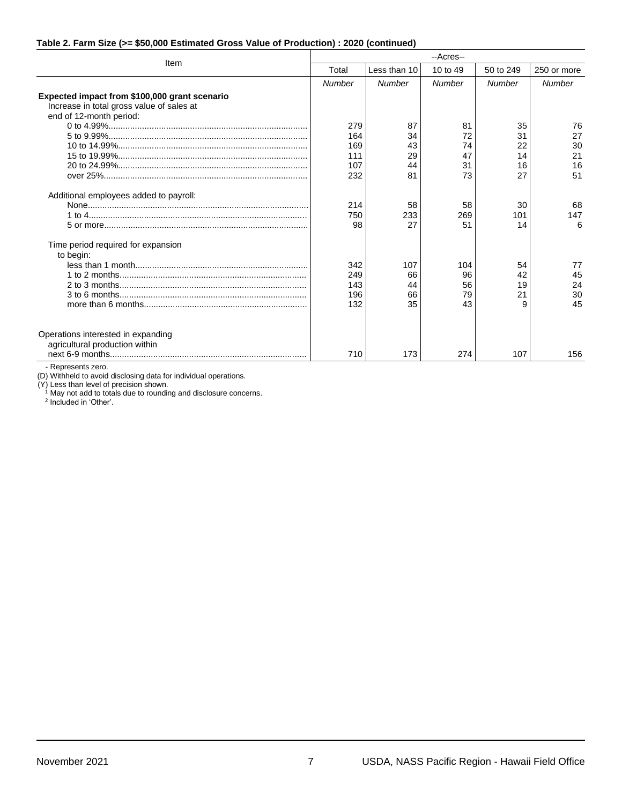#### **Table 2. Farm Size (>= \$50,000 Estimated Gross Value of Production) : 2020 (continued)**

|                                                                                                                       | --Acres--                       |                             |                             |                           |                            |
|-----------------------------------------------------------------------------------------------------------------------|---------------------------------|-----------------------------|-----------------------------|---------------------------|----------------------------|
| Item                                                                                                                  | Total                           | Less than 10                | 10 to 49                    | 50 to 249                 | 250 or more                |
|                                                                                                                       | <b>Number</b>                   | Number                      | Number                      | Number                    | Number                     |
| Expected impact from \$100,000 grant scenario<br>Increase in total gross value of sales at<br>end of 12-month period: | 279<br>164                      | 87<br>34                    | 81<br>72                    | 35<br>31                  | 76<br>27                   |
|                                                                                                                       | 169<br>111<br>107<br>232        | 43<br>29<br>44<br>81        | 74<br>47<br>31<br>73        | 22<br>14<br>16<br>27      | 30<br>21<br>16<br>51       |
| Additional employees added to payroll:                                                                                | 214<br>750<br>98                | 58<br>233<br>27             | 58<br>269<br>51             | 30<br>101<br>14           | 68<br>147<br>6             |
| Time period required for expansion<br>to begin:                                                                       | 342<br>249<br>143<br>196<br>132 | 107<br>66<br>44<br>66<br>35 | 104<br>96<br>56<br>79<br>43 | 54<br>42<br>19<br>21<br>9 | 77<br>45<br>24<br>30<br>45 |
| Operations interested in expanding<br>agricultural production within                                                  | 710                             | 173                         | 274                         | 107                       | 156                        |

- Represents zero.

(D) Withheld to avoid disclosing data for individual operations.

(Y) Less than level of precision shown.

<sup>1</sup> May not add to totals due to rounding and disclosure concerns.<br><sup>2</sup> Included in 'Other'.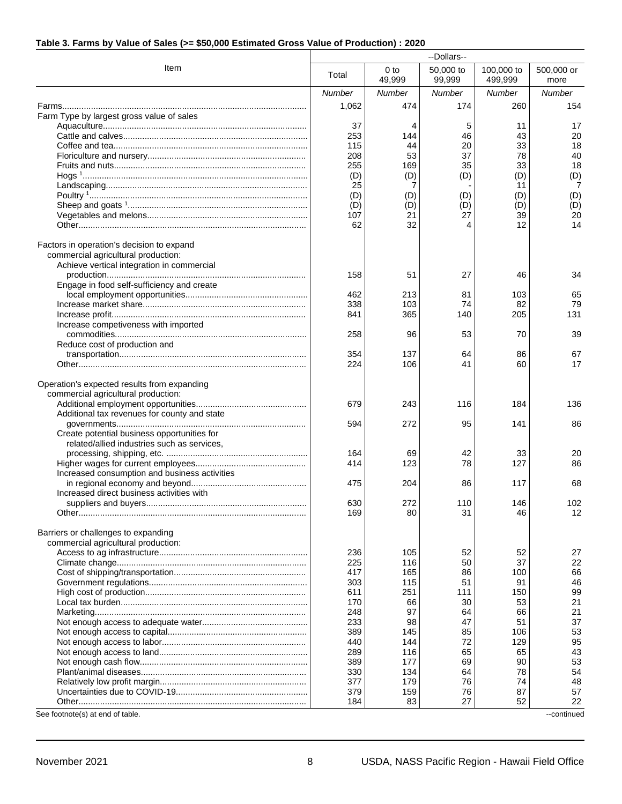#### **Table 3. Farms by Value of Sales (>= \$50,000 Estimated Gross Value of Production) : 2020**

| Item<br>0 <sub>to</sub><br>50,000 to<br>100,000 to<br>500,000 or<br>Total<br>49,999<br>99,999<br>499,999<br>more<br><b>Number</b><br>Number<br>Number<br><b>Number</b><br>Number<br>474<br>174<br>1,062<br>260<br>154<br>Farm Type by largest gross value of sales<br>17<br>37<br>5<br>11<br>4<br>253<br>46<br>43<br>20<br>144<br>20<br>18<br>115<br>44<br>33<br>208<br>53<br>37<br>78<br>40<br>255<br>35<br>33<br>18<br>169<br>(D)<br>(D)<br>(D)<br>(D)<br>(D)<br>25<br>7<br>7<br>11<br>(D)<br>(D)<br>(D)<br>(D)<br>(D)<br>(D)<br>(D)<br>(D)<br>(D)<br>(D)<br>107<br>21<br>20<br>27<br>39<br>14<br>62<br>32<br>12<br>4<br>Factors in operation's decision to expand<br>commercial agricultural production:<br>Achieve vertical integration in commercial<br>158<br>27<br>34<br>51<br>46<br>Engage in food self-sufficiency and create<br>65<br>462<br>213<br>81<br>103<br>338<br>103<br>79<br>74<br>82<br>131<br>841<br>365<br>140<br>205<br>Increase competiveness with imported<br>258<br>96<br>53<br>70<br>39<br>Reduce cost of production and<br>354<br>137<br>64<br>67<br>86<br>224<br>106<br>17<br>41<br>60<br>Operation's expected results from expanding<br>commercial agricultural production:<br>679<br>243<br>116<br>184<br>136<br>Additional tax revenues for county and state<br>594<br>272<br>95<br>141<br>86<br>Create potential business opportunities for<br>related/allied industries such as services,<br>164<br>69<br>42<br>20<br>33<br>414<br>123<br>78<br>127<br>86<br>Increased consumption and business activities<br>475<br>204<br>86<br>117<br>68<br>Increased direct business activities with<br>630<br>272<br>110<br>146<br>102<br>169<br>80<br>31<br>12<br>46<br>Barriers or challenges to expanding<br>commercial agricultural production:<br>236<br>105<br>52<br>52<br>27<br>225<br>116<br>50<br>37<br>22<br>66<br>417<br>165<br>86<br>100<br>303<br>115<br>51<br>46<br>91<br>99<br>611<br>251<br>111<br>150<br>21<br>170<br>66<br>30<br>53<br>97<br>21<br>248<br>66<br>64<br>37<br>233<br>47<br>98<br>51<br>53<br>389<br>145<br>85<br>106<br>72<br>95<br>440<br>144<br>129<br>289<br>65<br>43<br>116<br>65<br>53<br>389<br>69<br>177<br>90<br>330<br>78<br>54<br>134<br>64<br>377<br>179<br>76<br>74<br>48<br>57<br>379<br>159<br>76<br>87<br>27<br>22<br>184<br>83<br>52<br>See footnote(s) at end of table.<br>--continued | --Dollars-- |  |  |  |  |
|---------------------------------------------------------------------------------------------------------------------------------------------------------------------------------------------------------------------------------------------------------------------------------------------------------------------------------------------------------------------------------------------------------------------------------------------------------------------------------------------------------------------------------------------------------------------------------------------------------------------------------------------------------------------------------------------------------------------------------------------------------------------------------------------------------------------------------------------------------------------------------------------------------------------------------------------------------------------------------------------------------------------------------------------------------------------------------------------------------------------------------------------------------------------------------------------------------------------------------------------------------------------------------------------------------------------------------------------------------------------------------------------------------------------------------------------------------------------------------------------------------------------------------------------------------------------------------------------------------------------------------------------------------------------------------------------------------------------------------------------------------------------------------------------------------------------------------------------------------------------------------------------------------------------------------------------------------------------------------------------------------------------------------------------------------------------------------------------------------------------------------------------------------------------------------------------------------------------------------------------------------------------------------------------------------------------------------------------------------------|-------------|--|--|--|--|
|                                                                                                                                                                                                                                                                                                                                                                                                                                                                                                                                                                                                                                                                                                                                                                                                                                                                                                                                                                                                                                                                                                                                                                                                                                                                                                                                                                                                                                                                                                                                                                                                                                                                                                                                                                                                                                                                                                                                                                                                                                                                                                                                                                                                                                                                                                                                                               |             |  |  |  |  |
|                                                                                                                                                                                                                                                                                                                                                                                                                                                                                                                                                                                                                                                                                                                                                                                                                                                                                                                                                                                                                                                                                                                                                                                                                                                                                                                                                                                                                                                                                                                                                                                                                                                                                                                                                                                                                                                                                                                                                                                                                                                                                                                                                                                                                                                                                                                                                               |             |  |  |  |  |
|                                                                                                                                                                                                                                                                                                                                                                                                                                                                                                                                                                                                                                                                                                                                                                                                                                                                                                                                                                                                                                                                                                                                                                                                                                                                                                                                                                                                                                                                                                                                                                                                                                                                                                                                                                                                                                                                                                                                                                                                                                                                                                                                                                                                                                                                                                                                                               |             |  |  |  |  |
|                                                                                                                                                                                                                                                                                                                                                                                                                                                                                                                                                                                                                                                                                                                                                                                                                                                                                                                                                                                                                                                                                                                                                                                                                                                                                                                                                                                                                                                                                                                                                                                                                                                                                                                                                                                                                                                                                                                                                                                                                                                                                                                                                                                                                                                                                                                                                               |             |  |  |  |  |
|                                                                                                                                                                                                                                                                                                                                                                                                                                                                                                                                                                                                                                                                                                                                                                                                                                                                                                                                                                                                                                                                                                                                                                                                                                                                                                                                                                                                                                                                                                                                                                                                                                                                                                                                                                                                                                                                                                                                                                                                                                                                                                                                                                                                                                                                                                                                                               |             |  |  |  |  |
|                                                                                                                                                                                                                                                                                                                                                                                                                                                                                                                                                                                                                                                                                                                                                                                                                                                                                                                                                                                                                                                                                                                                                                                                                                                                                                                                                                                                                                                                                                                                                                                                                                                                                                                                                                                                                                                                                                                                                                                                                                                                                                                                                                                                                                                                                                                                                               |             |  |  |  |  |
|                                                                                                                                                                                                                                                                                                                                                                                                                                                                                                                                                                                                                                                                                                                                                                                                                                                                                                                                                                                                                                                                                                                                                                                                                                                                                                                                                                                                                                                                                                                                                                                                                                                                                                                                                                                                                                                                                                                                                                                                                                                                                                                                                                                                                                                                                                                                                               |             |  |  |  |  |
|                                                                                                                                                                                                                                                                                                                                                                                                                                                                                                                                                                                                                                                                                                                                                                                                                                                                                                                                                                                                                                                                                                                                                                                                                                                                                                                                                                                                                                                                                                                                                                                                                                                                                                                                                                                                                                                                                                                                                                                                                                                                                                                                                                                                                                                                                                                                                               |             |  |  |  |  |
|                                                                                                                                                                                                                                                                                                                                                                                                                                                                                                                                                                                                                                                                                                                                                                                                                                                                                                                                                                                                                                                                                                                                                                                                                                                                                                                                                                                                                                                                                                                                                                                                                                                                                                                                                                                                                                                                                                                                                                                                                                                                                                                                                                                                                                                                                                                                                               |             |  |  |  |  |
|                                                                                                                                                                                                                                                                                                                                                                                                                                                                                                                                                                                                                                                                                                                                                                                                                                                                                                                                                                                                                                                                                                                                                                                                                                                                                                                                                                                                                                                                                                                                                                                                                                                                                                                                                                                                                                                                                                                                                                                                                                                                                                                                                                                                                                                                                                                                                               |             |  |  |  |  |
|                                                                                                                                                                                                                                                                                                                                                                                                                                                                                                                                                                                                                                                                                                                                                                                                                                                                                                                                                                                                                                                                                                                                                                                                                                                                                                                                                                                                                                                                                                                                                                                                                                                                                                                                                                                                                                                                                                                                                                                                                                                                                                                                                                                                                                                                                                                                                               |             |  |  |  |  |
|                                                                                                                                                                                                                                                                                                                                                                                                                                                                                                                                                                                                                                                                                                                                                                                                                                                                                                                                                                                                                                                                                                                                                                                                                                                                                                                                                                                                                                                                                                                                                                                                                                                                                                                                                                                                                                                                                                                                                                                                                                                                                                                                                                                                                                                                                                                                                               |             |  |  |  |  |
|                                                                                                                                                                                                                                                                                                                                                                                                                                                                                                                                                                                                                                                                                                                                                                                                                                                                                                                                                                                                                                                                                                                                                                                                                                                                                                                                                                                                                                                                                                                                                                                                                                                                                                                                                                                                                                                                                                                                                                                                                                                                                                                                                                                                                                                                                                                                                               |             |  |  |  |  |
|                                                                                                                                                                                                                                                                                                                                                                                                                                                                                                                                                                                                                                                                                                                                                                                                                                                                                                                                                                                                                                                                                                                                                                                                                                                                                                                                                                                                                                                                                                                                                                                                                                                                                                                                                                                                                                                                                                                                                                                                                                                                                                                                                                                                                                                                                                                                                               |             |  |  |  |  |
|                                                                                                                                                                                                                                                                                                                                                                                                                                                                                                                                                                                                                                                                                                                                                                                                                                                                                                                                                                                                                                                                                                                                                                                                                                                                                                                                                                                                                                                                                                                                                                                                                                                                                                                                                                                                                                                                                                                                                                                                                                                                                                                                                                                                                                                                                                                                                               |             |  |  |  |  |
|                                                                                                                                                                                                                                                                                                                                                                                                                                                                                                                                                                                                                                                                                                                                                                                                                                                                                                                                                                                                                                                                                                                                                                                                                                                                                                                                                                                                                                                                                                                                                                                                                                                                                                                                                                                                                                                                                                                                                                                                                                                                                                                                                                                                                                                                                                                                                               |             |  |  |  |  |
|                                                                                                                                                                                                                                                                                                                                                                                                                                                                                                                                                                                                                                                                                                                                                                                                                                                                                                                                                                                                                                                                                                                                                                                                                                                                                                                                                                                                                                                                                                                                                                                                                                                                                                                                                                                                                                                                                                                                                                                                                                                                                                                                                                                                                                                                                                                                                               |             |  |  |  |  |
|                                                                                                                                                                                                                                                                                                                                                                                                                                                                                                                                                                                                                                                                                                                                                                                                                                                                                                                                                                                                                                                                                                                                                                                                                                                                                                                                                                                                                                                                                                                                                                                                                                                                                                                                                                                                                                                                                                                                                                                                                                                                                                                                                                                                                                                                                                                                                               |             |  |  |  |  |
|                                                                                                                                                                                                                                                                                                                                                                                                                                                                                                                                                                                                                                                                                                                                                                                                                                                                                                                                                                                                                                                                                                                                                                                                                                                                                                                                                                                                                                                                                                                                                                                                                                                                                                                                                                                                                                                                                                                                                                                                                                                                                                                                                                                                                                                                                                                                                               |             |  |  |  |  |
|                                                                                                                                                                                                                                                                                                                                                                                                                                                                                                                                                                                                                                                                                                                                                                                                                                                                                                                                                                                                                                                                                                                                                                                                                                                                                                                                                                                                                                                                                                                                                                                                                                                                                                                                                                                                                                                                                                                                                                                                                                                                                                                                                                                                                                                                                                                                                               |             |  |  |  |  |
|                                                                                                                                                                                                                                                                                                                                                                                                                                                                                                                                                                                                                                                                                                                                                                                                                                                                                                                                                                                                                                                                                                                                                                                                                                                                                                                                                                                                                                                                                                                                                                                                                                                                                                                                                                                                                                                                                                                                                                                                                                                                                                                                                                                                                                                                                                                                                               |             |  |  |  |  |
|                                                                                                                                                                                                                                                                                                                                                                                                                                                                                                                                                                                                                                                                                                                                                                                                                                                                                                                                                                                                                                                                                                                                                                                                                                                                                                                                                                                                                                                                                                                                                                                                                                                                                                                                                                                                                                                                                                                                                                                                                                                                                                                                                                                                                                                                                                                                                               |             |  |  |  |  |
|                                                                                                                                                                                                                                                                                                                                                                                                                                                                                                                                                                                                                                                                                                                                                                                                                                                                                                                                                                                                                                                                                                                                                                                                                                                                                                                                                                                                                                                                                                                                                                                                                                                                                                                                                                                                                                                                                                                                                                                                                                                                                                                                                                                                                                                                                                                                                               |             |  |  |  |  |
|                                                                                                                                                                                                                                                                                                                                                                                                                                                                                                                                                                                                                                                                                                                                                                                                                                                                                                                                                                                                                                                                                                                                                                                                                                                                                                                                                                                                                                                                                                                                                                                                                                                                                                                                                                                                                                                                                                                                                                                                                                                                                                                                                                                                                                                                                                                                                               |             |  |  |  |  |
|                                                                                                                                                                                                                                                                                                                                                                                                                                                                                                                                                                                                                                                                                                                                                                                                                                                                                                                                                                                                                                                                                                                                                                                                                                                                                                                                                                                                                                                                                                                                                                                                                                                                                                                                                                                                                                                                                                                                                                                                                                                                                                                                                                                                                                                                                                                                                               |             |  |  |  |  |
|                                                                                                                                                                                                                                                                                                                                                                                                                                                                                                                                                                                                                                                                                                                                                                                                                                                                                                                                                                                                                                                                                                                                                                                                                                                                                                                                                                                                                                                                                                                                                                                                                                                                                                                                                                                                                                                                                                                                                                                                                                                                                                                                                                                                                                                                                                                                                               |             |  |  |  |  |
|                                                                                                                                                                                                                                                                                                                                                                                                                                                                                                                                                                                                                                                                                                                                                                                                                                                                                                                                                                                                                                                                                                                                                                                                                                                                                                                                                                                                                                                                                                                                                                                                                                                                                                                                                                                                                                                                                                                                                                                                                                                                                                                                                                                                                                                                                                                                                               |             |  |  |  |  |
|                                                                                                                                                                                                                                                                                                                                                                                                                                                                                                                                                                                                                                                                                                                                                                                                                                                                                                                                                                                                                                                                                                                                                                                                                                                                                                                                                                                                                                                                                                                                                                                                                                                                                                                                                                                                                                                                                                                                                                                                                                                                                                                                                                                                                                                                                                                                                               |             |  |  |  |  |
|                                                                                                                                                                                                                                                                                                                                                                                                                                                                                                                                                                                                                                                                                                                                                                                                                                                                                                                                                                                                                                                                                                                                                                                                                                                                                                                                                                                                                                                                                                                                                                                                                                                                                                                                                                                                                                                                                                                                                                                                                                                                                                                                                                                                                                                                                                                                                               |             |  |  |  |  |
|                                                                                                                                                                                                                                                                                                                                                                                                                                                                                                                                                                                                                                                                                                                                                                                                                                                                                                                                                                                                                                                                                                                                                                                                                                                                                                                                                                                                                                                                                                                                                                                                                                                                                                                                                                                                                                                                                                                                                                                                                                                                                                                                                                                                                                                                                                                                                               |             |  |  |  |  |
|                                                                                                                                                                                                                                                                                                                                                                                                                                                                                                                                                                                                                                                                                                                                                                                                                                                                                                                                                                                                                                                                                                                                                                                                                                                                                                                                                                                                                                                                                                                                                                                                                                                                                                                                                                                                                                                                                                                                                                                                                                                                                                                                                                                                                                                                                                                                                               |             |  |  |  |  |
|                                                                                                                                                                                                                                                                                                                                                                                                                                                                                                                                                                                                                                                                                                                                                                                                                                                                                                                                                                                                                                                                                                                                                                                                                                                                                                                                                                                                                                                                                                                                                                                                                                                                                                                                                                                                                                                                                                                                                                                                                                                                                                                                                                                                                                                                                                                                                               |             |  |  |  |  |
|                                                                                                                                                                                                                                                                                                                                                                                                                                                                                                                                                                                                                                                                                                                                                                                                                                                                                                                                                                                                                                                                                                                                                                                                                                                                                                                                                                                                                                                                                                                                                                                                                                                                                                                                                                                                                                                                                                                                                                                                                                                                                                                                                                                                                                                                                                                                                               |             |  |  |  |  |
|                                                                                                                                                                                                                                                                                                                                                                                                                                                                                                                                                                                                                                                                                                                                                                                                                                                                                                                                                                                                                                                                                                                                                                                                                                                                                                                                                                                                                                                                                                                                                                                                                                                                                                                                                                                                                                                                                                                                                                                                                                                                                                                                                                                                                                                                                                                                                               |             |  |  |  |  |
|                                                                                                                                                                                                                                                                                                                                                                                                                                                                                                                                                                                                                                                                                                                                                                                                                                                                                                                                                                                                                                                                                                                                                                                                                                                                                                                                                                                                                                                                                                                                                                                                                                                                                                                                                                                                                                                                                                                                                                                                                                                                                                                                                                                                                                                                                                                                                               |             |  |  |  |  |
|                                                                                                                                                                                                                                                                                                                                                                                                                                                                                                                                                                                                                                                                                                                                                                                                                                                                                                                                                                                                                                                                                                                                                                                                                                                                                                                                                                                                                                                                                                                                                                                                                                                                                                                                                                                                                                                                                                                                                                                                                                                                                                                                                                                                                                                                                                                                                               |             |  |  |  |  |
|                                                                                                                                                                                                                                                                                                                                                                                                                                                                                                                                                                                                                                                                                                                                                                                                                                                                                                                                                                                                                                                                                                                                                                                                                                                                                                                                                                                                                                                                                                                                                                                                                                                                                                                                                                                                                                                                                                                                                                                                                                                                                                                                                                                                                                                                                                                                                               |             |  |  |  |  |
|                                                                                                                                                                                                                                                                                                                                                                                                                                                                                                                                                                                                                                                                                                                                                                                                                                                                                                                                                                                                                                                                                                                                                                                                                                                                                                                                                                                                                                                                                                                                                                                                                                                                                                                                                                                                                                                                                                                                                                                                                                                                                                                                                                                                                                                                                                                                                               |             |  |  |  |  |
|                                                                                                                                                                                                                                                                                                                                                                                                                                                                                                                                                                                                                                                                                                                                                                                                                                                                                                                                                                                                                                                                                                                                                                                                                                                                                                                                                                                                                                                                                                                                                                                                                                                                                                                                                                                                                                                                                                                                                                                                                                                                                                                                                                                                                                                                                                                                                               |             |  |  |  |  |
|                                                                                                                                                                                                                                                                                                                                                                                                                                                                                                                                                                                                                                                                                                                                                                                                                                                                                                                                                                                                                                                                                                                                                                                                                                                                                                                                                                                                                                                                                                                                                                                                                                                                                                                                                                                                                                                                                                                                                                                                                                                                                                                                                                                                                                                                                                                                                               |             |  |  |  |  |
|                                                                                                                                                                                                                                                                                                                                                                                                                                                                                                                                                                                                                                                                                                                                                                                                                                                                                                                                                                                                                                                                                                                                                                                                                                                                                                                                                                                                                                                                                                                                                                                                                                                                                                                                                                                                                                                                                                                                                                                                                                                                                                                                                                                                                                                                                                                                                               |             |  |  |  |  |
|                                                                                                                                                                                                                                                                                                                                                                                                                                                                                                                                                                                                                                                                                                                                                                                                                                                                                                                                                                                                                                                                                                                                                                                                                                                                                                                                                                                                                                                                                                                                                                                                                                                                                                                                                                                                                                                                                                                                                                                                                                                                                                                                                                                                                                                                                                                                                               |             |  |  |  |  |
|                                                                                                                                                                                                                                                                                                                                                                                                                                                                                                                                                                                                                                                                                                                                                                                                                                                                                                                                                                                                                                                                                                                                                                                                                                                                                                                                                                                                                                                                                                                                                                                                                                                                                                                                                                                                                                                                                                                                                                                                                                                                                                                                                                                                                                                                                                                                                               |             |  |  |  |  |
|                                                                                                                                                                                                                                                                                                                                                                                                                                                                                                                                                                                                                                                                                                                                                                                                                                                                                                                                                                                                                                                                                                                                                                                                                                                                                                                                                                                                                                                                                                                                                                                                                                                                                                                                                                                                                                                                                                                                                                                                                                                                                                                                                                                                                                                                                                                                                               |             |  |  |  |  |
|                                                                                                                                                                                                                                                                                                                                                                                                                                                                                                                                                                                                                                                                                                                                                                                                                                                                                                                                                                                                                                                                                                                                                                                                                                                                                                                                                                                                                                                                                                                                                                                                                                                                                                                                                                                                                                                                                                                                                                                                                                                                                                                                                                                                                                                                                                                                                               |             |  |  |  |  |
|                                                                                                                                                                                                                                                                                                                                                                                                                                                                                                                                                                                                                                                                                                                                                                                                                                                                                                                                                                                                                                                                                                                                                                                                                                                                                                                                                                                                                                                                                                                                                                                                                                                                                                                                                                                                                                                                                                                                                                                                                                                                                                                                                                                                                                                                                                                                                               |             |  |  |  |  |
|                                                                                                                                                                                                                                                                                                                                                                                                                                                                                                                                                                                                                                                                                                                                                                                                                                                                                                                                                                                                                                                                                                                                                                                                                                                                                                                                                                                                                                                                                                                                                                                                                                                                                                                                                                                                                                                                                                                                                                                                                                                                                                                                                                                                                                                                                                                                                               |             |  |  |  |  |
|                                                                                                                                                                                                                                                                                                                                                                                                                                                                                                                                                                                                                                                                                                                                                                                                                                                                                                                                                                                                                                                                                                                                                                                                                                                                                                                                                                                                                                                                                                                                                                                                                                                                                                                                                                                                                                                                                                                                                                                                                                                                                                                                                                                                                                                                                                                                                               |             |  |  |  |  |
|                                                                                                                                                                                                                                                                                                                                                                                                                                                                                                                                                                                                                                                                                                                                                                                                                                                                                                                                                                                                                                                                                                                                                                                                                                                                                                                                                                                                                                                                                                                                                                                                                                                                                                                                                                                                                                                                                                                                                                                                                                                                                                                                                                                                                                                                                                                                                               |             |  |  |  |  |
|                                                                                                                                                                                                                                                                                                                                                                                                                                                                                                                                                                                                                                                                                                                                                                                                                                                                                                                                                                                                                                                                                                                                                                                                                                                                                                                                                                                                                                                                                                                                                                                                                                                                                                                                                                                                                                                                                                                                                                                                                                                                                                                                                                                                                                                                                                                                                               |             |  |  |  |  |
|                                                                                                                                                                                                                                                                                                                                                                                                                                                                                                                                                                                                                                                                                                                                                                                                                                                                                                                                                                                                                                                                                                                                                                                                                                                                                                                                                                                                                                                                                                                                                                                                                                                                                                                                                                                                                                                                                                                                                                                                                                                                                                                                                                                                                                                                                                                                                               |             |  |  |  |  |
|                                                                                                                                                                                                                                                                                                                                                                                                                                                                                                                                                                                                                                                                                                                                                                                                                                                                                                                                                                                                                                                                                                                                                                                                                                                                                                                                                                                                                                                                                                                                                                                                                                                                                                                                                                                                                                                                                                                                                                                                                                                                                                                                                                                                                                                                                                                                                               |             |  |  |  |  |
|                                                                                                                                                                                                                                                                                                                                                                                                                                                                                                                                                                                                                                                                                                                                                                                                                                                                                                                                                                                                                                                                                                                                                                                                                                                                                                                                                                                                                                                                                                                                                                                                                                                                                                                                                                                                                                                                                                                                                                                                                                                                                                                                                                                                                                                                                                                                                               |             |  |  |  |  |
|                                                                                                                                                                                                                                                                                                                                                                                                                                                                                                                                                                                                                                                                                                                                                                                                                                                                                                                                                                                                                                                                                                                                                                                                                                                                                                                                                                                                                                                                                                                                                                                                                                                                                                                                                                                                                                                                                                                                                                                                                                                                                                                                                                                                                                                                                                                                                               |             |  |  |  |  |
|                                                                                                                                                                                                                                                                                                                                                                                                                                                                                                                                                                                                                                                                                                                                                                                                                                                                                                                                                                                                                                                                                                                                                                                                                                                                                                                                                                                                                                                                                                                                                                                                                                                                                                                                                                                                                                                                                                                                                                                                                                                                                                                                                                                                                                                                                                                                                               |             |  |  |  |  |
|                                                                                                                                                                                                                                                                                                                                                                                                                                                                                                                                                                                                                                                                                                                                                                                                                                                                                                                                                                                                                                                                                                                                                                                                                                                                                                                                                                                                                                                                                                                                                                                                                                                                                                                                                                                                                                                                                                                                                                                                                                                                                                                                                                                                                                                                                                                                                               |             |  |  |  |  |
|                                                                                                                                                                                                                                                                                                                                                                                                                                                                                                                                                                                                                                                                                                                                                                                                                                                                                                                                                                                                                                                                                                                                                                                                                                                                                                                                                                                                                                                                                                                                                                                                                                                                                                                                                                                                                                                                                                                                                                                                                                                                                                                                                                                                                                                                                                                                                               |             |  |  |  |  |
|                                                                                                                                                                                                                                                                                                                                                                                                                                                                                                                                                                                                                                                                                                                                                                                                                                                                                                                                                                                                                                                                                                                                                                                                                                                                                                                                                                                                                                                                                                                                                                                                                                                                                                                                                                                                                                                                                                                                                                                                                                                                                                                                                                                                                                                                                                                                                               |             |  |  |  |  |
|                                                                                                                                                                                                                                                                                                                                                                                                                                                                                                                                                                                                                                                                                                                                                                                                                                                                                                                                                                                                                                                                                                                                                                                                                                                                                                                                                                                                                                                                                                                                                                                                                                                                                                                                                                                                                                                                                                                                                                                                                                                                                                                                                                                                                                                                                                                                                               |             |  |  |  |  |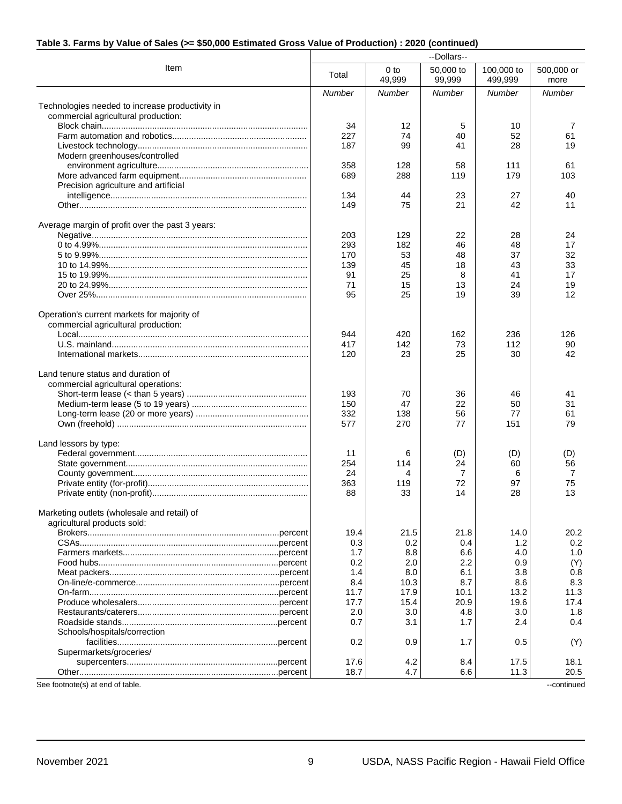#### **Table 3. Farms by Value of Sales (>= \$50,000 Estimated Gross Value of Production) : 2020 (continued)**

|                                                                                        | --Dollars--   |                           |                     |                       |                    |
|----------------------------------------------------------------------------------------|---------------|---------------------------|---------------------|-----------------------|--------------------|
| Item                                                                                   | Total         | 0 <sub>to</sub><br>49,999 | 50,000 to<br>99,999 | 100,000 to<br>499,999 | 500,000 or<br>more |
|                                                                                        | <b>Number</b> | <b>Number</b>             | <b>Number</b>       | <b>Number</b>         | Number             |
| Technologies needed to increase productivity in<br>commercial agricultural production: |               |                           |                     |                       |                    |
|                                                                                        | 34            | 12                        | 5                   | 10                    | 7                  |
|                                                                                        | 227           | 74                        | 40                  | 52                    | 61                 |
|                                                                                        | 187           | 99                        | 41                  | 28                    | 19                 |
| Modern greenhouses/controlled                                                          |               |                           |                     |                       |                    |
|                                                                                        | 358           | 128                       | 58                  | 111                   | 61                 |
|                                                                                        | 689           | 288                       | 119                 | 179                   | 103                |
| Precision agriculture and artificial                                                   |               |                           |                     |                       |                    |
|                                                                                        | 134           | 44                        | 23                  | 27                    | 40                 |
|                                                                                        | 149           | 75                        | 21                  | 42                    | 11                 |
| Average margin of profit over the past 3 years:                                        |               |                           |                     |                       |                    |
|                                                                                        | 203           | 129                       | 22                  | 28                    | 24                 |
|                                                                                        | 293           | 182                       | 46                  | 48                    | 17<br>32           |
|                                                                                        | 170<br>139    | 53<br>45                  | 48<br>18            | 37<br>43              | 33                 |
|                                                                                        | 91            | 25                        | 8                   | 41                    | 17                 |
|                                                                                        | 71            | 15                        | 13                  | 24                    | 19                 |
|                                                                                        | 95            | 25                        | 19                  | 39                    | 12                 |
| Operation's current markets for majority of<br>commercial agricultural production:     |               |                           |                     |                       |                    |
|                                                                                        | 944           | 420                       | 162                 | 236                   | 126                |
|                                                                                        | 417           | 142                       | 73                  | 112                   | 90                 |
|                                                                                        | 120           | 23                        | 25                  | 30                    | 42                 |
| Land tenure status and duration of<br>commercial agricultural operations:              | 193           | 70                        | 36                  | 46                    | 41                 |
|                                                                                        | 150           | 47                        | 22                  | 50                    | 31                 |
|                                                                                        | 332           | 138                       | 56                  | 77                    | 61                 |
|                                                                                        | 577           | 270                       | 77                  | 151                   | 79                 |
| Land lessors by type:                                                                  |               |                           |                     |                       |                    |
|                                                                                        | 11            | 6                         | (D)                 | (D)                   | (D)                |
|                                                                                        | 254           | 114                       | 24                  | 60                    | 56                 |
|                                                                                        | 24            | 4                         | 7                   | 6                     | 7                  |
|                                                                                        | 363           | 119                       | 72                  | 97                    | 75                 |
|                                                                                        | 88            | 33                        | 14                  | 28                    | 13                 |
| Marketing outlets (wholesale and retail) of<br>agricultural products sold:             |               |                           |                     |                       |                    |
|                                                                                        | 19.4          | 21.5                      | 21.8                | 14.0                  | 20.2               |
|                                                                                        | 0.3           | 0.2                       | 0.4                 | 1.2                   | 0.2                |
|                                                                                        | 1.7           | 8.8                       | 6.6                 | 4.0<br>0.9            | 1.0                |
|                                                                                        | 0.2<br>1.4    | 2.0<br>8.0                | 2.2                 | 3.8                   | (Y)<br>0.8         |
|                                                                                        | 8.4           | 10.3                      | 6.1<br>8.7          | 8.6                   | 8.3                |
|                                                                                        | 11.7          | 17.9                      | 10.1                | 13.2                  | 11.3               |
|                                                                                        | 17.7          | 15.4                      | 20.9                | 19.6                  | 17.4               |
|                                                                                        | 2.0           | 3.0                       | 4.8                 | 3.0                   | 1.8                |
|                                                                                        | 0.7           | 3.1                       | 1.7                 | 2.4                   | 0.4                |
| Schools/hospitals/correction                                                           |               |                           |                     |                       |                    |
|                                                                                        | 0.2           | 0.9                       | 1.7                 | 0.5                   | (Y)                |
| Supermarkets/groceries/                                                                |               |                           |                     |                       |                    |
|                                                                                        | 17.6          | 4.2                       | 8.4                 | 17.5                  | 18.1               |
|                                                                                        | 18.7          | 4.7                       | 6.6                 | 11.3                  | 20.5               |
| See footnote(s) at end of table.                                                       |               |                           |                     |                       | --continued        |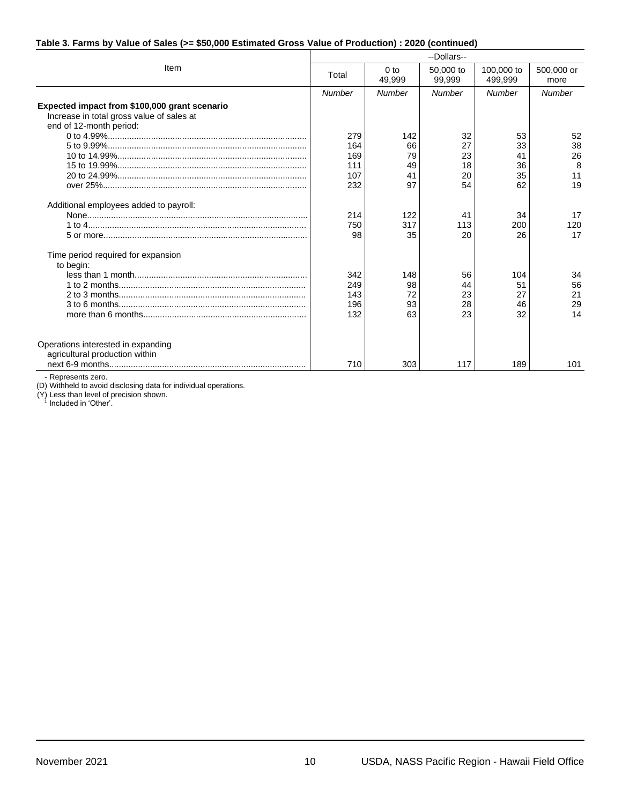#### **Table 3. Farms by Value of Sales (>= \$50,000 Estimated Gross Value of Production) : 2020 (continued)**

|                                                                                                                       | --Dollars--                            |                                   |                                  |                                  |                                 |  |
|-----------------------------------------------------------------------------------------------------------------------|----------------------------------------|-----------------------------------|----------------------------------|----------------------------------|---------------------------------|--|
| Item                                                                                                                  | Total                                  | 0 <sub>to</sub><br>49,999         | 50,000 to<br>99,999              | 100,000 to<br>499,999            | 500,000 or<br>more              |  |
|                                                                                                                       | Number                                 | Number                            | Number                           | Number                           | Number                          |  |
| Expected impact from \$100,000 grant scenario<br>Increase in total gross value of sales at<br>end of 12-month period: | 279<br>164<br>169<br>111<br>107<br>232 | 142<br>66<br>79<br>49<br>41<br>97 | 32<br>27<br>23<br>18<br>20<br>54 | 53<br>33<br>41<br>36<br>35<br>62 | 52<br>38<br>26<br>8<br>11<br>19 |  |
| Additional employees added to payroll:                                                                                | 214<br>750<br>98                       | 122<br>317<br>35                  | 41<br>113<br>20                  | 34<br>200<br>26                  | 17<br>120<br>17                 |  |
| Time period required for expansion<br>to begin:                                                                       | 342<br>249<br>143<br>196<br>132        | 148<br>98<br>72<br>93<br>63       | 56<br>44<br>23<br>28<br>23       | 104<br>51<br>27<br>46<br>32      | 34<br>56<br>21<br>29<br>14      |  |
| Operations interested in expanding<br>agricultural production within                                                  | 710                                    | 303                               | 117                              | 189                              | 101                             |  |

- Represents zero.

(D) Withheld to avoid disclosing data for individual operations.

(Y) Less than level of precision shown. Included in 'Other'.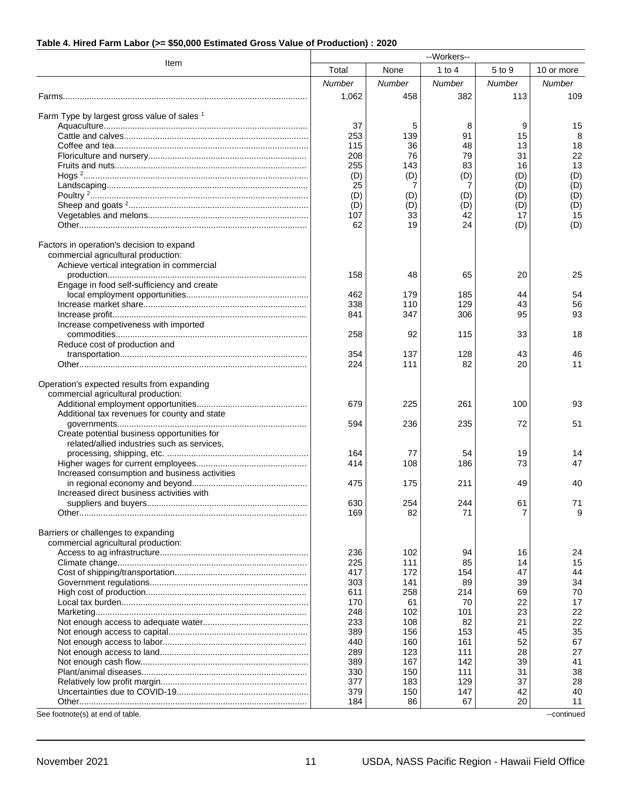#### **Table 4. Hired Farm Labor (>= \$50,000 Estimated Gross Value of Production) : 2020**

|                                               | --Workers--   |           |           |            |             |
|-----------------------------------------------|---------------|-----------|-----------|------------|-------------|
| Item                                          | Total         | None      | 1 to $4$  | 5 to 9     | 10 or more  |
|                                               | <b>Number</b> | Number    | Number    | Number     | Number      |
|                                               | 1,062         | 458       | 382       | 113        | 109         |
|                                               |               |           |           |            |             |
| Farm Type by largest gross value of sales 1   |               |           |           |            |             |
|                                               | 37            | 5         | 8         | 9          | 15          |
|                                               | 253           | 139       | 91        | 15         | 8           |
|                                               | 115           | 36        | 48        | 13         | 18          |
|                                               | 208           | 76        | 79        | 31         | 22          |
|                                               | 255           | 143       | 83        | 16         | 13          |
|                                               | (D)<br>25     | (D)<br>7  | (D)<br>7  | (D)<br>(D) | (D)<br>(D)  |
|                                               | (D)           | (D)       | (D)       | (D)        | (D)         |
|                                               | (D)           | (D)       | (D)       | (D)        | (D)         |
|                                               | 107           | 33        | 42        | 17         | 15          |
|                                               | 62            | 19        | 24        | (D)        | (D)         |
|                                               |               |           |           |            |             |
| Factors in operation's decision to expand     |               |           |           |            |             |
| commercial agricultural production:           |               |           |           |            |             |
| Achieve vertical integration in commercial    |               |           |           |            |             |
|                                               | 158           | 48        | 65        | 20         | 25          |
| Engage in food self-sufficiency and create    | 462           | 179       | 185       | 44         | 54          |
|                                               | 338           | 110       | 129       | 43         | 56          |
|                                               | 841           | 347       | 306       | 95         | 93          |
| Increase competiveness with imported          |               |           |           |            |             |
|                                               | 258           | 92        | 115       | 33         | 18          |
| Reduce cost of production and                 |               |           |           |            |             |
|                                               | 354           | 137       | 128       | 43         | 46          |
|                                               | 224           | 111       | 82        | 20         | 11          |
|                                               |               |           |           |            |             |
| Operation's expected results from expanding   |               |           |           |            |             |
| commercial agricultural production:           | 679           | 225       | 261       | 100        | 93          |
| Additional tax revenues for county and state  |               |           |           |            |             |
|                                               | 594           | 236       | 235       | 72         | 51          |
| Create potential business opportunities for   |               |           |           |            |             |
| related/allied industries such as services,   |               |           |           |            |             |
|                                               | 164           | 77        | 54        | 19         | 14          |
|                                               | 414           | 108       | 186       | 73         | 47          |
| Increased consumption and business activities |               |           |           |            |             |
|                                               | 475           | 175       | 211       | 49         | 40          |
| Increased direct business activities with     | 630           | 254       | 244       | 61         | 71          |
|                                               | 169           | 82        | 71        | 7          | 9           |
|                                               |               |           |           |            |             |
| Barriers or challenges to expanding           |               |           |           |            |             |
| commercial agricultural production:           |               |           |           |            |             |
|                                               | 236           | 102       | 94        | 16         | 24          |
|                                               | 225           | 111       | 85        | 14         | 15          |
|                                               | 417           | 172       | 154       | 47         | 44          |
|                                               | 303           | 141       | 89        | 39         | 34          |
|                                               | 611           | 258       | 214       | 69         | 70          |
|                                               | 170<br>248    | 61<br>102 | 70<br>101 | 22<br>23   | 17<br>22    |
|                                               | 233           | 108       | 82        | 21         | 22          |
|                                               | 389           | 156       | 153       | 45         | 35          |
|                                               | 440           | 160       | 161       | 52         | 67          |
|                                               | 289           | 123       | 111       | 28         | 27          |
|                                               | 389           | 167       | 142       | 39         | 41          |
|                                               | 330           | 150       | 111       | 31         | 38          |
|                                               | 377           | 183       | 129       | 37         | 28          |
|                                               | 379           | 150       | 147       | 42         | 40          |
|                                               | 184           | 86        | 67        | 20         | 11          |
| See footnote(s) at end of table.              |               |           |           |            | --continued |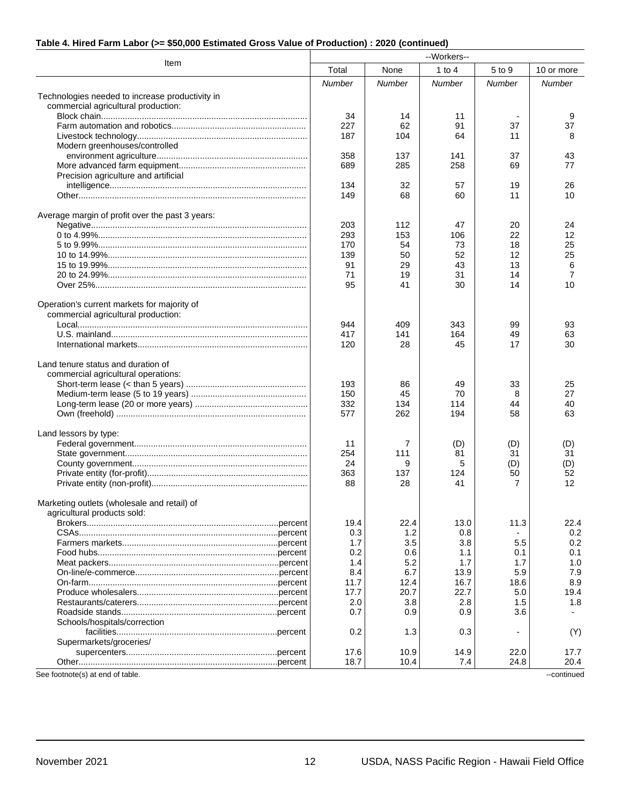#### **Table 4. Hired Farm Labor (>= \$50,000 Estimated Gross Value of Production) : 2020 (continued)**

| --Workers--                                     |        |        |          |        |             |  |  |  |
|-------------------------------------------------|--------|--------|----------|--------|-------------|--|--|--|
| Item                                            | Total  | None   | 1 to $4$ | 5 to 9 | 10 or more  |  |  |  |
|                                                 | Number | Number | Number   | Number | Number      |  |  |  |
| Technologies needed to increase productivity in |        |        |          |        |             |  |  |  |
| commercial agricultural production:             |        |        |          |        |             |  |  |  |
|                                                 | 34     | 14     | 11       |        | 9           |  |  |  |
|                                                 | 227    | 62     | 91       | 37     | 37          |  |  |  |
|                                                 | 187    | 104    | 64       | 11     | 8           |  |  |  |
| Modern greenhouses/controlled                   |        |        |          |        |             |  |  |  |
|                                                 | 358    | 137    | 141      | 37     | 43          |  |  |  |
|                                                 | 689    | 285    | 258      | 69     | 77          |  |  |  |
| Precision agriculture and artificial            |        |        |          |        |             |  |  |  |
|                                                 | 134    | 32     | 57       | 19     | 26          |  |  |  |
|                                                 | 149    | 68     | 60       | 11     | 10          |  |  |  |
| Average margin of profit over the past 3 years: |        |        |          |        |             |  |  |  |
|                                                 | 203    | 112    | 47       | 20     | 24          |  |  |  |
|                                                 | 293    | 153    | 106      | 22     | 12          |  |  |  |
|                                                 | 170    | 54     | 73       | 18     | 25          |  |  |  |
|                                                 | 139    | 50     | 52       | 12     | 25          |  |  |  |
|                                                 | 91     | 29     | 43       | 13     | 6           |  |  |  |
|                                                 | 71     | 19     | 31       | 14     | 7           |  |  |  |
|                                                 | 95     | 41     | 30       | 14     | 10          |  |  |  |
| Operation's current markets for majority of     |        |        |          |        |             |  |  |  |
| commercial agricultural production:             |        |        |          |        |             |  |  |  |
|                                                 | 944    | 409    | 343      | 99     | 93          |  |  |  |
|                                                 | 417    | 141    | 164      | 49     | 63          |  |  |  |
|                                                 | 120    | 28     | 45       | 17     | 30          |  |  |  |
| Land tenure status and duration of              |        |        |          |        |             |  |  |  |
| commercial agricultural operations:             |        |        |          |        |             |  |  |  |
|                                                 | 193    | 86     | 49       | 33     | 25          |  |  |  |
|                                                 | 150    | 45     | 70       | 8      | 27          |  |  |  |
|                                                 | 332    | 134    | 114      | 44     | 40          |  |  |  |
|                                                 | 577    | 262    | 194      | 58     | 63          |  |  |  |
| Land lessors by type:                           |        |        |          |        |             |  |  |  |
|                                                 | 11     | 7      | (D)      | (D)    | (D)         |  |  |  |
|                                                 | 254    | 111    | 81       | 31     | 31          |  |  |  |
|                                                 | 24     | 9      | 5        | (D)    | (D)         |  |  |  |
|                                                 | 363    | 137    | 124      | 50     | 52          |  |  |  |
|                                                 | 88     | 28     | 41       | 7      | 12          |  |  |  |
| Marketing outlets (wholesale and retail) of     |        |        |          |        |             |  |  |  |
| agricultural products sold:                     |        |        |          |        |             |  |  |  |
|                                                 | 19.4   | 22.4   | 13.0     | 11.3   | 22.4        |  |  |  |
|                                                 | 0.3    | 1.2    | 0.8      |        | 0.2         |  |  |  |
|                                                 | 1.7    | 3.5    | 3.8      | 5.5    | 0.2         |  |  |  |
|                                                 | 0.2    | 0.6    | 1.1      | 0.1    | 0.1         |  |  |  |
|                                                 | 1.4    | 5.2    | 1.7      | 1.7    | 1.0         |  |  |  |
|                                                 | 8.4    | 6.7    | 13.9     | 5.9    | 7.9         |  |  |  |
|                                                 | 11.7   | 12.4   | 16.7     | 18.6   | 8.9         |  |  |  |
|                                                 | 17.7   | 20.7   | 22.7     | 5.0    | 19.4        |  |  |  |
|                                                 | 2.0    | 3.8    | 2.8      | 1.5    | 1.8         |  |  |  |
|                                                 | 0.7    | 0.9    | 0.9      | 3.6    |             |  |  |  |
| Schools/hospitals/correction                    |        |        |          |        |             |  |  |  |
|                                                 | 0.2    | 1.3    | 0.3      |        | (Y)         |  |  |  |
| Supermarkets/groceries/                         |        |        |          |        |             |  |  |  |
|                                                 | 17.6   | 10.9   | 14.9     | 22.0   | 17.7        |  |  |  |
|                                                 | 18.7   | 10.4   | 7.4      | 24.8   | 20.4        |  |  |  |
| See footnote(s) at end of table.                |        |        |          |        | --continued |  |  |  |